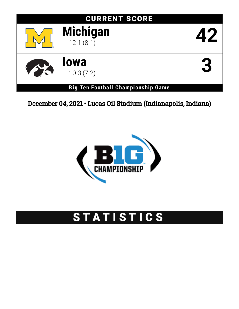# CURRENT SCORE



**Michigan** 42



**lowa**<br>10-3 (7-2)  $\frac{10^{-3} (7-2)}{2}$ 

**Big Ten Football Championship Game**

December 04, 2021 • Lucas Oil Stadium (Indianapolis, Indiana)



# STATISTICS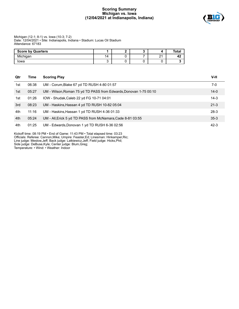## **Scoring Summary Michigan vs. Iowa (12/04/2021 at Indianapolis, Indiana)**



#### Michigan (12-1; 8-1) vs. Iowa (10-3; 7-2) Date: 12/04/2021 • Site: Indianapolis, Indiana • Stadium: Lucas Oil Stadium Attendance: 67183

| <b>Score by Quarters</b> |    |  |               | ™otaı |
|--------------------------|----|--|---------------|-------|
| Michigan                 | 14 |  | ິ<br><u>.</u> | т.    |
| lowa                     |    |  |               |       |

| Qtr | Time  | <b>Scoring Play</b>                                               | V-H      |
|-----|-------|-------------------------------------------------------------------|----------|
| 1st | 06:38 | UM - Corum, Blake 67 yd TD RUSH 4-80 01:57                        | 7-0      |
| 1st | 05:27 | UM - Wilson, Roman 75 yd TD PASS from Edwards, Donovan 1-75 00:10 | $14 - 0$ |
| 1st | 01:26 | IOW - Shudak, Caleb 22 yd FG 10-71 04:01                          | $14-3$   |
| 3rd | 08:23 | UM - Haskins, Hassan 4 yd TD RUSH 10-82 05:04                     | $21 - 3$ |
| 4th | 11:16 | UM - Haskins, Hassan 1 yd TD RUSH 4-36 01:33                      | $28-3$   |
| 4th | 05:24 | UM - All, Erick 5 yd TD PASS from McNamara, Cade 8-81 03:55       | $35-3$   |
| 4th | 01:25 | UM - Edwards, Donovan 1 yd TD RUSH 6-36 02:56                     | $42-3$   |

Kickoff time: 08:19 PM • End of Game: 11:43 PM • Total elapsed time: 03:23 Officials: Referee: Cannon,Mike; Umpire: Feaster,Ed; Linesman: Hinkamper,Ric; Line judge: Meslow,Jeff; Back judge: Latkiewicz,Jeff; Field judge: Hicks,Phil; Side judge: DeBuse,Kyle; Center judge: Blum,Greg; Temperature: • Wind: • Weather: Indoor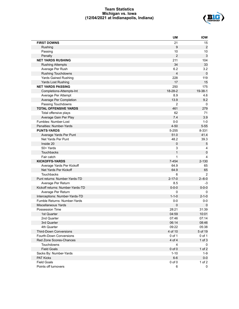## **Team Statistics Michigan vs. Iowa (12/04/2021 at Indianapolis, Indiana)**



|                                  | UM               | <b>IOW</b>     |
|----------------------------------|------------------|----------------|
| <b>FIRST DOWNS</b>               | 21               | 15             |
| Rushing                          | 9                | $\overline{2}$ |
| Passing                          | 10               | 10             |
| Penalty                          | $\boldsymbol{2}$ | $\sqrt{3}$     |
| <b>NET YARDS RUSHING</b>         | 211              | 104            |
| <b>Rushing Attempts</b>          | 34               | 33             |
| Average Per Rush                 | 6.2              | 3.2            |
| Rushing Touchdowns               | $\overline{4}$   | $\mathbf 0$    |
| <b>Yards Gained Rushing</b>      | 228              | 119            |
| Yards Lost Rushing               | 17               | 15             |
| <b>NET YARDS PASSING</b>         | 250              | 175            |
| Completions-Attempts-Int         | 18-28-2          | 19-38-1        |
| Average Per Attempt              | 8.9              | 4.6            |
| Average Per Completion           | 13.9             | 9.2            |
| Passing Touchdowns               | $\overline{2}$   | 0              |
| <b>TOTAL OFFENSIVE YARDS</b>     | 461              | 279            |
| Total offensive plays            | 62               | 71             |
| Average Gain Per Play            | 7.4              | 3.9            |
| Fumbles: Number-Lost             | $0 - 0$          | $1 - 0$        |
| Penalties: Number-Yards          | $4 - 50$         | $5 - 55$       |
| <b>PUNTS-YARDS</b>               | 5-255            | 8-331          |
| Average Yards Per Punt           | 51.0             | 41.4           |
| Net Yards Per Punt               | 48.2             | 39.3           |
| Inside 20                        | $\pmb{0}$        | $\sqrt{5}$     |
| 50+ Yards                        | 3                | 4              |
| <b>Touchbacks</b>                | $\mathbf{1}$     | $\pmb{0}$      |
| Fair catch                       | 1                | 4              |
| <b>KICKOFFS-YARDS</b>            | $7 - 454$        | $2 - 130$      |
| Average Yards Per Kickoff        | 64.9             | 65             |
| Net Yards Per Kickoff            | 64.9             | 65             |
| <b>Touchbacks</b>                | 6                | $\overline{2}$ |
| Punt returns: Number-Yards-TD    | $2 - 17 - 0$     | $2 - 6 - 0$    |
| Average Per Return               | 8.5              | -3             |
| Kickoff returns: Number-Yards-TD | $0 - 0 - 0$      | $0 - 0 - 0$    |
| Average Per Return               | 0                | 0              |
| Interceptions: Number-Yards-TD   | $1 - 1 - 0$      | $2 - 1 - 0$    |
| Fumble Returns: Number-Yards     | $0-0$            | $0-0$          |
| <b>Miscellaneous Yards</b>       | 0                | $\mathbf 0$    |
| Possession Time                  | 28:21            | 31:39          |
| 1st Quarter                      | 04:59            | 10:01          |
| 2nd Quarter                      | 07:46            | 07:14          |
| 3rd Quarter                      | 06:14            | 08:46          |
| 4th Quarter                      | 09:22            | 05:38          |
| <b>Third-Down Conversions</b>    | 4 of 10          | 5 of 19        |
| Fourth-Down Conversions          | 0 of 1           | 0 of 1         |
| Red Zone Scores-Chances          | 4 of 4           | $1$ of $3$     |
| Touchdowns                       | $\overline{4}$   | 0              |
| <b>Field Goals</b>               | $0$ of $0$       | $1$ of $2$     |
| Sacks By: Number-Yards           | $1 - 10$         | $1 - 9$        |
| <b>PAT Kicks</b>                 | $6-6$            | $0-0$          |
| <b>Field Goals</b>               | $0$ of $0$       | $1$ of $2$     |
| Points off turnovers             | 6                | 0              |
|                                  |                  |                |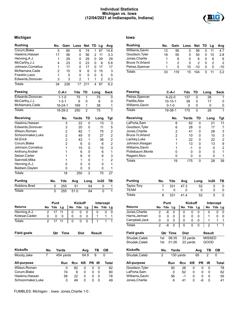## **Individual Statistics Michigan vs. Iowa (12/04/2021 at Indianapolis, Indiana)**



## **Michigan Iowa**

| <b>Rushing</b>     |                | No.                             | Gain            | Loss           |                | Net TD Lg      |               |              | Avg                     | <b>Rushing</b>     | No.                    | Gain           | Loss         |                | Net            | TD          | Lg                  |
|--------------------|----------------|---------------------------------|-----------------|----------------|----------------|----------------|---------------|--------------|-------------------------|--------------------|------------------------|----------------|--------------|----------------|----------------|-------------|---------------------|
| Corum, Blake       |                | 5                               | 80              |                | 6              | 74             | 1             | 67           | 14.8                    | Williams, Gavin    | 12                     | 56             |              | 0              | 56             | 0           | 11                  |
| Haskins, Hassan    |                | 17                              | 56              |                | 0              | 56             | 2             | 11           | 3.3                     | Goodson, Tyler     | 18                     | 55             |              | 5              | 50             | 0           | 10                  |
| Henning, A.J.      |                | 1                               | 29              |                | 0              | 29             | 0             | 29           | 29                      | Jones, Charlie     | 1                      | 6              |              | 0              | 6              | 0           | 6                   |
| McCarthy, J.J.     |                | 4                               | 23              |                | 0              | 23             | 0             | 8            | 5.8                     | Bruce IV, Arland   | 1                      | $\overline{2}$ |              | $\mathbf 0$    | $\overline{2}$ | 0           | $\overline{c}$      |
| Johnson, Cornelius |                | 1                               | 17              |                | 0              | 17             | 0             | 17           | 17                      | Petras, Spencer    | 1                      | 0              | 10           |                | $-10$          | 0           | 0                   |
| McNamara, Cade     |                | 2                               | 15              |                | 9              | 6              | 0             | 15           | 3                       | <b>Totals</b>      | 33                     | 119            | 15           |                | 104            | $\mathsf 0$ | 11                  |
| Franklin, Leon     |                | 1                               |                 | 5              | 0              | 5              | 0             | 5            | 5                       |                    |                        |                |              |                |                |             |                     |
| Edwards, Donovan   |                | 3                               |                 | 3              | $\overline{2}$ | 1              | 1             | 2            | 0.3                     |                    |                        |                |              |                |                |             |                     |
| <b>Totals</b>      |                | 34                              | 228             |                | 17             | 211            | 4             | 67           | 6.2                     |                    |                        |                |              |                |                |             |                     |
| Passing            |                |                                 | $C-A-I$         | Yds            |                | TD             | Long          |              | <b>Sack</b>             | Passing            |                        | $C-A-I$        | Yds          | TD             |                | Long        |                     |
| Edwards, Donovan   |                |                                 | $1 - 1 - 0$     | 75             |                | 1              |               | 75           | 0                       | Petras, Spencer    |                        | $9 - 22 - 0$   | 137          |                | 0              |             | 28                  |
| McCarthy, J.J.     |                |                                 | $1 - 3 - 1$     |                | 6              | 0              |               | 6            | 0                       | Padilla, Alex      |                        | $10 - 15 - 1$  | 38           |                | 0              |             | 17                  |
| McNamara, Cade     |                |                                 | $16 - 24 - 1$   | 169            |                | $\mathbf{1}$   |               | 38           | 1                       | Williams, Gavin    |                        | $0 - 1 - 0$    | 0            |                | 0              |             | $\pmb{0}$           |
| <b>Totals</b>      |                |                                 | 18-28-2         | 250            |                | $\overline{2}$ |               | 75           | $\mathbf{1}$            | <b>Totals</b>      |                        | 19-38-1        | 175          |                | 0              |             | 28                  |
| Receiving          |                |                                 | No.             | Yards          |                | TD             |               | Long         | Tgt                     | Receiving          |                        | No.            | Yards        |                | <b>TD</b>      |             | Long                |
| Haskins, Hassan    |                |                                 | 3               |                | 22             | 0              |               | 13           | 3                       | LaPorta, Sam       |                        | 6              |              | 62             | 0              |             | 2 <sup>1</sup>      |
| Edwards, Donovan   |                |                                 | 3               |                | 20             | 0              |               | 11           | 5                       | Goodson, Tyler     |                        | 6              |              | 28             | 0              |             | 17                  |
| Wilson, Roman      |                |                                 | 2               |                | 82             | 1              |               | 75           | $\overline{c}$          | Jones, Charlie     |                        | $\overline{c}$ |              | 41             | 0              |             | 26                  |
| Schoonmaker, Luke  |                |                                 | $\overline{c}$  |                | 49             | 0              |               | 27           | $\overline{\mathbf{c}}$ | Bruce IV, Arland   |                        | $\overline{c}$ |              | 10             | 0              |             | 1 <sub>0</sub>      |
| All, Erick         |                |                                 | 2               |                | 43             | 1              |               | 38           | 2                       | Lachey, Luke       |                        | 1              |              | 22             | 0              |             | 2 <sup>2</sup>      |
| Corum, Blake       |                |                                 | 2               |                | 6              | 0              |               | 6            | 2                       | Johnson, Keagan    |                        | 1              |              | 13             | 0              |             | 13                  |
| Johnson, Cornelius |                |                                 | 1               |                | 15             | 0              |               | 15           | 3                       | Williams, Gavin    |                        | 1              |              | -1             | 0              |             |                     |
| Anthony, Andrel    |                |                                 | 1               |                | 6              | 0              |               | 6            | 1                       | Pottebaum, Monte   |                        | 0              |              | 0              | 0              |             | $\mathfrak{c}$      |
| Selzer, Carter     |                |                                 | 1               |                | 6              | 0              |               | 6            | 3                       | Ragaini, Nico      |                        | 0              |              | 0              | 0              |             | (                   |
| Sainristil, Mike   |                |                                 | 1               |                | 1              | 0              |               | 1            | 2                       |                    |                        |                |              |                |                |             |                     |
| Henning, A.J.      |                |                                 | 0               |                | 0              | 0              |               | 0            | 1                       | <b>Totals</b>      |                        | 19             |              | 175            | 0              |             | $2\epsilon$         |
| Baldwin, Daylen    |                |                                 | $\mathbf{0}$    |                | 0              | 0              |               | 0            | 1                       |                    |                        |                |              |                |                |             |                     |
| <b>Totals</b>      |                |                                 | $\overline{18}$ |                | 250            | $\overline{2}$ |               | 75           | 27                      |                    |                        |                |              |                |                |             |                     |
|                    |                |                                 |                 |                |                |                |               |              |                         |                    |                        |                |              |                |                |             |                     |
| <b>Punting</b>     |                | No.                             | Yds             | Avg            |                | Long           |               | In20         | TВ                      | <b>Punting</b>     | No.                    | Yds            | Avg          |                | Long           |             | ln2(                |
| Robbins, Brad      |                | 5                               | 255             | 51             |                | 64             |               | 0            | 1                       | Taylor, Tory       | 7                      | 331            | 47.3         |                | 52             |             |                     |
| <b>Totals</b>      |                | 5                               | 255             | 51.0           |                | 64             |               | $\mathbf 0$  | $\mathbf{1}$            | <b>TEAM</b>        | 1                      | 0              | 0            |                | 0              |             |                     |
|                    |                |                                 |                 |                |                |                |               |              |                         | <b>Totals</b>      | 8                      | 331            | 41.4         |                | 52             |             |                     |
|                    |                | Punt                            |                 | <b>Kickoff</b> |                |                |               | Intercept    |                         |                    | Punt                   |                |              | <b>Kickoff</b> |                |             | Inter               |
| <b>Returns</b>     |                | No Yds                          | Lg              | No Yds         |                | Lg             |               |              | No Yds Lg               | <b>Returns</b>     | No Yds Lg              |                | No Yds       |                | Lg             |             | No<br>$\rightarrow$ |
| Henning, A.J.      | 2              | 17                              | 11              | 0              | 0              | 0              |               | 0            | 0<br>$\mathbf 0$        | Jones, Charlie     | $\overline{c}$<br>$-6$ | $\mathbf 0$    | $\mathbf 0$  | 0              | 0              |             | 0                   |
| Kolesar, Caden     | 0              | 0                               | $\mathbf{0}$    | $\Omega$       | $\Omega$       | 0              |               | 1            | 1<br>1                  | Harris, Jermari    | 0<br>0                 | $\Omega$       | $\mathbf{0}$ | 0              | $\mathbf{0}$   |             | 1                   |
| <b>Totals</b>      | $\overline{2}$ | $\overline{17}$ $\overline{11}$ |                 | 0              | $\mathsf 0$    | $\pmb{0}$      |               | $\mathbf{1}$ |                         | Campbell, Jack     | 0<br>0                 | $\pmb{0}$      | 0            | 0              | 0              |             | 1                   |
|                    |                |                                 |                 |                |                |                |               |              |                         | <b>Totals</b>      | $\overline{2}$<br>$-6$ | 0              | $\Omega$     | 0              | $\mathbf 0$    |             | 2                   |
| <b>Field goals</b> |                | Qtr                             | <b>Time</b>     |                | <b>Dist</b>    |                | <b>Result</b> |              |                         | <b>Field goals</b> |                        | Qtr Time       | <b>Dist</b>  |                |                |             | <b>Result</b>       |
|                    |                |                                 |                 |                |                |                |               |              |                         | Shudak, Caleb      | 1st                    | 08:35          | 33 yards     |                |                |             | <b>MISSE</b>        |
|                    |                |                                 |                 |                |                |                |               |              |                         | Shudak, Caleb      | 1st                    | 01:26          | 22 yards     |                |                |             | GOOD                |
| <b>Kickoffs</b>    | No.            |                                 | Yards           |                |                | Avg            | TВ            |              | <b>OB</b>               | <b>Kickoffs</b>    | No.                    | Yards          |              |                | Avg            |             | TB                  |
| Moody, Jake        | $\overline{7}$ |                                 | 454 yards       |                |                | 64.9           | 6             |              | 0                       | Shudak, Caleb      | $\overline{c}$         | 130 yards      |              |                | 65             |             | 2                   |
| All-purpose        |                |                                 | Run             | Rcv            |                | KR             | PR IR         |              | <b>Total</b>            | All-purpose        |                        | Run            | <b>Rcv</b>   | <b>KR</b>      | <b>PR</b>      |             | IR                  |
| Wilson, Roman      |                |                                 | 0               | 82             |                | 0              | 0             | 0            | 82                      | Goodson, Tyler     |                        | 50             | 28           | 0              |                | 0           | 0                   |
| Corum, Blake       |                |                                 | 74              | 6              |                | 0              | 0             | 0            | 80                      | LaPorta, Sam       |                        | 0              | 62           | 0              |                | 0           | 0                   |
| Haskins, Hassan    |                |                                 | 56              | 22             |                | 0              | 0             | 0            | 78                      | Williams, Gavin    |                        | 56             | $-1$         | 0              |                | 0           | 0                   |
| Schoonmaker, Luke  |                |                                 | 0               | 49             |                | 0              | 0             | 0            | 49                      | Jones, Charlie     |                        | 6              | 41           | 0              | $-6\,$         |             | 0                   |
|                    |                |                                 |                 |                |                |                |               |              |                         |                    |                        |                |              |                |                |             |                     |

| Rushing          | No. | Gain | Loss Net TD |     |   | - La | Avg   |
|------------------|-----|------|-------------|-----|---|------|-------|
| Williams,Gavin   | 12  | 56   | O           | 56  |   | 11   | 4.7   |
| Goodson, Tyler   | 18  | 55   | 5           | 50  | O | 10   | 2.8   |
| Jones,Charlie    | 1   | 6    | 0           | 6   | O | 6    | 6     |
| Bruce IV, Arland | 1   | 2    | 0           |     | 0 | 2    | 2     |
| Petras, Spencer  | 1   | O    | 10          | -10 | ŋ | O    | $-10$ |
| Totals           | 33  | 119  | 15          | 104 |   |      | 32    |

| Passing          | C-A-I          | Yds   | TD | Long | <b>Sack</b>    |
|------------------|----------------|-------|----|------|----------------|
| Petras, Spencer  | $9 - 22 - 0$   | 137   | 0  | 28   | 1              |
| Padilla, Alex    | $10 - 15 - 1$  | 38    | 0  | 17   | ი              |
| Williams, Gavin  | $0 - 1 - 0$    | 0     | 0  | 0    | 0              |
| Totals           | 19-38-1        | 175   | 0  | 28   | 1              |
| Receiving        | No.            | Yards | TD | Long | Tgt            |
| LaPorta,Sam      | 6              | 62    | 0  | 21   | 11             |
| Goodson, Tyler   | 6              | 28    | 0  | 17   | 7              |
| Jones, Charlie   | $\overline{2}$ | 41    | 0  | 28   | 3              |
| Bruce IV, Arland | $\overline{2}$ | 10    | 0  | 10   | 3              |
| Lachey, Luke     | 1              | 22    | 0  | 22   | $\overline{2}$ |
| Johnson, Keagan  |                | 13    | 0  | 13   | 9              |
| Williams, Gavin  |                | -1    | 0  | 0    | $\overline{2}$ |
| Pottebaum, Monte | 0              | 0     | 0  | 0    | 1              |
| Ragaini, Nico    | 0              | 0     | 0  | 0    | 1              |
| Totals           | 19             | 175   | 0  | 28   | 39             |

| <b>Punting</b> | No. | Yds | Avg  | Long | In20 | TВ |
|----------------|-----|-----|------|------|------|----|
| Taylor, Tory   |     | 331 | 47.3 | 52   |      |    |
| <b>TEAM</b>    |     |     |      |      |      |    |
| Totals         |     | 331 | 41.4 | 52   |      |    |

|                 |                | Punt |       |           | <b>Kickoff</b> |           |                | Intercept |       |
|-----------------|----------------|------|-------|-----------|----------------|-----------|----------------|-----------|-------|
| Returns         | No             | Yds  | Lg    | No        | Yds            | Lg        | No             | Yds Lg    |       |
| Jones, Charlie  | 2              | -6   | 0     | 0         | 0              | 0         | 0              | 0         | 0     |
| Harris, Jermari | 0              | 0    | 0     | 0         | 0              | 0         | 1              | 0         | 0     |
| Campbell, Jack  | 0              | 0    | 0     | 0         | 0              | 0         | 1              | 1         | 1     |
| Totals          | $\overline{2}$ | -6   | 0     | 0         | 0              | 0         | $\overline{2}$ | 1         | 1     |
| Field goals     |                | Qtr  | Time  | Dist      |                |           | <b>Result</b>  |           |       |
| Shudak, Caleb   |                | 1st  | 08:35 |           | 33 yards       |           | MISSED         |           |       |
| Shudak, Caleb   |                | 1st  | 01:26 |           | 22 yards       |           | GOOD           |           |       |
| Kickoffs        |                | No.  | Yards |           |                | Avg       | ΤВ             | OВ        |       |
| Shudak, Caleb   |                | 2    |       | 130 yards |                | 65        | 2              | 0         |       |
| All-purpose     |                |      | Run   | Rcv       | ΚR             | <b>PR</b> | IR             |           | Total |
| Goodson, Tyler  |                |      | 50    | 28        | 0              | 0         | 0              |           | 78    |
| LaPorta.Sam     |                |      | 0     | 62        | 0              | 0         | 0              |           | 62    |
| Williams, Gavin |                |      | 56    | $-1$      | 0              | 0         | 0              |           | 55    |
| Jones,Charlie   |                |      | 6     | 41        | 0              | -6        | 0              |           | 41    |

FUMBLES: Michigan- . Iowa- Jones,Charlie 1-0 .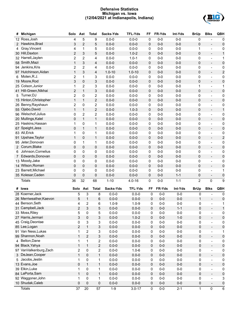## **Defensive Statistics Michigan vs. Iowa (12/04/2021 at Indianapolis, Indiana)**



| #              | Michigan                                    | Solo           | Ast                           | <b>Total</b>      | Sacks-Yds          | <b>TFL-Yds</b>          | FF               | FR-Yds         | Int-Yds          | <b>BrUp</b>       | <b>Blks</b>                                          | QBH                     |
|----------------|---------------------------------------------|----------------|-------------------------------|-------------------|--------------------|-------------------------|------------------|----------------|------------------|-------------------|------------------------------------------------------|-------------------------|
|                | 12 Ross, Josh                               | 4              | 5                             | $\boldsymbol{9}$  | $0.0 - 0$          | $0.0 - 0$               | 0                | $0-0$          | $0-0$            | 0                 |                                                      | 0                       |
| $\mathbf{2}$   | Hawkins, Brad                               | 3              | $\overline{c}$                | 5                 | $0.0 - 0$          | $0.0 - 0$               | 0                | $0-0$          | $0-0$            | 0                 | $\overline{a}$                                       | $\pmb{0}$               |
| 4              | Gray, Vincent                               | 4              | $\mathbf{1}$                  | 5                 | $0.0 - 0$          | $0.0 - 0$               | 0                | $0-0$          | $0-0$            | 1                 | $\overline{\phantom{0}}$                             | 0                       |
|                | 30 Hill, Daxton                             | $\overline{c}$ | 3                             | 5                 | $0.0 - 0$          | $1.0 - 2$               | 0                | $0-0$          | $0-0$            | 0                 |                                                      | $\mathbf{1}$            |
|                | 32 Harrell, Jaylen                          | 2              | $\overline{c}$                | 4                 | $0.0 - 0$          | $1.0 - 1$               | 0                | $0-0$          | $0-0$            | 0                 | $\overline{\phantom{0}}$                             | 1                       |
|                | 58 Smith, Mazi                              | $\mathbf 1$    | 3                             | $\overline{4}$    | $0.0 - 0$          | $0.0 - 0$               | 0                | $0-0$          | $0-0$            | 0                 | $\overline{\phantom{0}}$                             | $\pmb{0}$               |
|                | 94 Jenkins, Kris                            | 2              | $\overline{c}$                | 4                 | $0.0 - 0$          | $0.0 - 0$               | 0                | $0-0$          | $0-0$            | 0                 | $\overline{\phantom{0}}$                             | 0                       |
|                | 97 Hutchinson, Aidan                        | $\mathbf{1}$   | 3                             | $\overline{4}$    | $1.0 - 10$         | $1.0 - 10$              | 0                | $0-0$          | $0-0$            | 0                 | $\overline{\phantom{0}}$                             | $\overline{\mathbf{c}}$ |
| 6              | Moten, R.J.                                 | 2              | $\mathbf 1$                   | 3                 | $0.0 - 0$          | $0.0 - 0$               | 0                | $0-0$          | $0-0$            | 0                 | $\overline{\phantom{0}}$                             | 0                       |
|                | 19 Moore, Rod                               | 3              | 0                             | 3                 | $0.0 - 0$          | $0.0 - 0$               | 0                | $0-0$          | $0-0$            | 0                 | $\overline{\phantom{0}}$                             | $\pmb{0}$               |
|                | 25 Colson, Junior                           | 1              | $\overline{c}$                | 3                 | $0.0 - 0$          | $0.0 - 0$               | 0                | $0-0$          | $0-0$            | 1                 | $\overline{\phantom{0}}$                             | 1                       |
|                | 41 Hill-Green, Nikhai                       | $\overline{c}$ | $\mathbf{1}$                  | 3                 | $0.0 - 0$          | $0.0 - 0$               | 0                | $0-0$          | $0-0$            | 0                 | $\overline{\phantom{0}}$                             | $\pmb{0}$               |
| 5              | Turner, DJ                                  | 2              | 0                             | 2                 | $0.0 - 0$          | $0.0 - 0$               | 0                | $0-0$          | $0-0$            | 0                 | $\overline{\phantom{0}}$                             | 0                       |
|                | 15 Hinton, Christopher                      | $\mathbf{1}$   | $\mathbf{1}$                  | $\overline{c}$    | $0.0 - 0$          | $0.0 - 0$               | 0                | $0-0$          | $0-0$            | 0                 | $\overline{\phantom{0}}$                             | $\pmb{0}$               |
|                | 26 Benny, Rayshaun                          | 2              | 0                             | 2                 | $0.0 - 0$          | $0.0 - 0$               | 0                | $0-0$          | $0-0$            | 0                 | $\overline{\phantom{0}}$                             | 0                       |
|                | 55 Ojabo, David                             | $\mathbf{1}$   | $\mathbf{1}$                  | $\overline{c}$    | $0.0 - 0$          | $1.0 - 3$               | 0                | $0-0$          | $0-0$            | 0                 | $\overline{\phantom{0}}$                             | $\mathbf{1}$            |
|                | 96 Welschof, Julius                         | 0              | $\overline{2}$                | 2                 | $0.0 - 0$          | $0.0 - 0$               | 0                | $0-0$          | $0-0$            | 0                 | $\overline{\phantom{0}}$                             | 0                       |
|                | 20 Mullings, Kalel                          | 0              | $\mathbf{1}$                  | $\mathbf{1}$      | $0.0 - 0$          | $0.0 - 0$               | 0                | $0-0$          | $0-0$            | 0                 | $\overline{\phantom{0}}$                             | $\pmb{0}$               |
|                | 25 Haskins, Hassan                          | 1              | 0                             | 1                 | $0.0 - 0$          | $0.0 - 0$               | 0                | $0-0$          | $0-0$            | 0                 | $\overline{\phantom{0}}$                             | 0                       |
|                | 67 Speight, Jess                            | 0              | $\mathbf{1}$                  | $\mathbf{1}$      | $0.0 - 0$          | $0.0 - 0$               | 0                | $0-0$          | $0-0$            | 0                 | $\overline{\phantom{0}}$                             | $\pmb{0}$               |
|                | 83 All, Erick                               | 1              | 0                             | 1                 | $0.0 - 0$          | $0.0 - 0$               | 0                | $0-0$          | $0-0$            | 0                 | $\overline{\phantom{0}}$                             | 0                       |
|                | 91 Upshaw, Taylor                           | $\mathbf{1}$   | $\pmb{0}$                     | $\mathbf{1}$      | $0.0 - 0$          | $0.0 - 0$               | 0                | $0-0$          | $0-0$            | 0                 | $\overline{\phantom{0}}$                             | $\overline{\mathbf{c}}$ |
|                | 95 Jeter, Donovan                           | 0              | $\mathbf 1$                   | 1                 | $0.0 - 0$          | $0.0 - 0$               | 0                | $0-0$          | $0-0$            | 0                 | $\overline{\phantom{0}}$                             | 0                       |
| $2^{\circ}$    | Corum, Blake                                | 0              | $\pmb{0}$                     | $\pmb{0}$         | $0.0 - 0$          | $0.0 - 0$               | 0                | $0-0$          | $0-0$            | 0                 | $\overline{\phantom{0}}$                             | $\pmb{0}$               |
| 6              | Johnson, Cornelius                          | 0              | 0                             | $\pmb{0}$         | $0.0 - 0$          | $0.0 - 0$               | 0                | $0-0$          | $0-0$            | 0                 | $\overline{\phantom{0}}$                             | 0                       |
| $\overline{7}$ | Edwards, Donovan                            | 0              | $\pmb{0}$                     | $\pmb{0}$         | $0.0 - 0$          | $0.0 - 0$               | 0                | $0-0$          | $0-0$            | 0                 | $\overline{\phantom{0}}$                             | $\pmb{0}$               |
|                | 13 Moody, Jake                              | 0              | 0                             | $\pmb{0}$         | $0.0 - 0$          | $0.0 - 0$               | 0                | $0-0$          | $0-0$            | 0                 | $\overline{\phantom{0}}$                             | 0                       |
|                | 14 Wilson, Roman                            | 0              | $\pmb{0}$                     | $\pmb{0}$         | $0.0 - 0$          | $0.0 - 0$               | 0                | $0-0$          | $0-0$            | 0                 | $\overline{\phantom{0}}$                             | $\pmb{0}$               |
|                | 23 Barrett, Michael                         | 0              | 0                             | $\pmb{0}$         | $0.0 - 0$          | $0.0 - 0$               | 0                | $0-0$          | $0-0$            | 0                 | $\overline{\phantom{a}}$                             | 1                       |
|                |                                             |                | $\pmb{0}$                     | 0                 | $0.0 - 0$          | $0.0 - 0$               | 0                | $0-0$          | $1 - 1$          | $\pmb{0}$         | $\overline{\phantom{a}}$                             | $\pmb{0}$               |
|                |                                             |                |                               |                   |                    |                         |                  |                |                  |                   |                                                      |                         |
|                | 35 Kolesar, Caden                           | 0              |                               |                   |                    |                         |                  |                |                  |                   |                                                      |                         |
|                | <b>Totals</b>                               | 36             | 32                            | 68                | $1 - 10$           | $4.0 - 16$              | 0                | $0-0$          | $1 - 1$          | $\overline{2}$    | 0                                                    | 9                       |
|                | # Iowa                                      |                | Solo Ast                      | <b>Total</b>      | Sacks-Yds          | <b>TFL-Yds</b>          | FF               | FR-Yds         | Int-Yds          | <b>BrUp</b>       | <b>Blks</b>                                          | QBH                     |
|                |                                             |                |                               |                   |                    |                         | $\mathbf 0$      |                |                  | 0                 | $\qquad \qquad -$                                    |                         |
|                | 28 Koerner, Jack<br>26 Merriweather, Kaevon |                | 5<br>3                        | 8                 | $0.0 - 0$          | $0.0 - 0$               |                  | $0-0$          | $0-0$            | $\mathbf 1$       | $\overline{\phantom{a}}$                             | 0                       |
|                |                                             |                | 1<br>5<br>4                   | 6<br>6            | $0.0 - 0$          | $0.0 - 0$               | $\mathbf 0$<br>0 | $0-0$          | $0-0$            |                   | $\blacksquare$                                       | $\pmb{0}$<br>1          |
|                | 44 Benson, Seth                             |                | $\overline{c}$                |                   | $1.0 - 9$          | $1.0 - 9$               |                  | $0-0$          | $0-0$            | 0                 |                                                      |                         |
|                | 31 Campbell, Jack                           |                | 2<br>3                        | 5                 | $0.0 - 0$          | $0.0 - 0$               | 0                | $0-0$          | 1-1              | 0                 | $\overline{\phantom{a}}$<br>$\overline{\phantom{a}}$ |                         |
|                | 33 Moss, Riley<br>27 Harris, Jermari        |                | 5<br>0                        | 5                 | $0.0 - 0$          | $0.0 - 0$               | 0                | $0-0$          | $0-0$            | 0                 |                                                      | 0                       |
|                |                                             |                | 3<br>$\mathsf 0$              | 3                 | $0.0 - 0$          | $1.0 - 2$               | 0                | $0-0$          | $1 - 0$          | 0                 | $\overline{\phantom{a}}$<br>$\overline{\phantom{a}}$ | $\mathbf 0$             |
|                | 45 Craig, Deontae                           |                | 3<br>$\pmb{0}$                | 3                 | $0.0 - 0$          | $0.0 - 0$               | 0                | $0-0$          | $0-0$            | 0                 |                                                      | $\pmb{0}$               |
|                | 85 Lee, Logan                               |                | $\overline{c}$<br>$\mathbf 1$ | 3                 | $0.0 - 0$          | $0.0 - 0$               | 0                | $0-0$          | $0-0$            | 0                 | $\overline{\phantom{a}}$<br>$\overline{\phantom{a}}$ | $\mathsf{O}\xspace$     |
|                | 91 Van Ness, Lukas                          |                | $\overline{c}$<br>1           | 3                 | $0.0 - 0$          | $0.0 - 0$               | 0                | $0-0$          | $0-0$            | 0                 |                                                      | 1                       |
|                | 99 Shannon, Noah                            |                | $\mathbf 2$<br>$\mathbf{1}$   | 3                 | $0.0 - 0$          | $0.0 - 0$               | 0                | $0-0$          | $0-0$            | 0                 | $\blacksquare$                                       | $\mathsf{O}\xspace$     |
|                | 4 Belton, Dane                              |                | $\mathbf{1}$<br>1             | $\overline{c}$    | $0.0 - 0$          | $0.0 - 0$               | 0                | $0-0$          | $0-0$            | 0                 | $\overline{\phantom{a}}$                             | $\pmb{0}$               |
|                | 94 Black, Yahya                             |                | $\mathbf{1}$<br>$\mathbf 1$   | $\mathbf 2$       | $0.0 - 0$          | $0.0 - 0$               | 0                | $0-0$          | $0-0$            | 0                 | $\blacksquare$                                       | $\mathsf{O}\xspace$     |
|                | 97 VanValkenburg, Zach                      |                | $\pmb{0}$<br>$\overline{c}$   | $\overline{c}$    | $0.0 - 0$          | $1.0 - 6$               | 0                | $0-0$          | $0-0$            | 0                 | $\overline{\phantom{a}}$                             | $\pmb{0}$               |
|                | 3 DeJean, Cooper                            |                | $\mathbf{1}$<br>$\mathsf 0$   | $\mathbf{1}$      | $0.0 - 0$          | $0.0 - 0$               | 0                | $0-0$          | $0-0$            | 0                 | $\blacksquare$                                       | $\mathsf{O}\xspace$     |
|                | 5 Jacobs, Jestin                            |                | $\pmb{0}$<br>1                | 1                 | $0.0 - 0$          | $0.0 - 0$               | 0                | $0-0$          | $0-0$            | 0                 | $\overline{\phantom{a}}$                             | $\pmb{0}$               |
|                | 13 Evans, Joe                               |                | $\mathsf 0$<br>$\mathbf 1$    | $\mathbf{1}$      | $0.0 - 0$          | $0.0 - 0$               | 0                | $0-0$          | $0-0$            | 0                 | $\blacksquare$                                       | $\mathsf{O}\xspace$     |
|                | 39 Elkin, Luke                              |                | $\pmb{0}$<br>1                | 1                 | $0.0 - 0$          | $0.0 - 0$               | 0                | $0-0$          | $0-0$            | 0                 | $\overline{\phantom{a}}$                             | $\pmb{0}$               |
|                | 84 LaPorta, Sam                             |                | $\mathbf{1}$<br>0             | $\mathbf{1}$      | $0.0 - 0$          | $0.0 - 0$               | 0                | $0-0$          | $0-0$            | $\pmb{0}$         | $\blacksquare$                                       | $\mathsf{O}\xspace$     |
|                | 92 Waggoner, John                           |                | $\pmb{0}$<br>1                | $\mathbf 1$       | $0.0 - 0$          | $0.0 - 0$               | $\pmb{0}$        | $0-0$          | $0-0$            | 0                 | $\overline{\phantom{a}}$                             | 3                       |
|                | 10 Shudak, Caleb<br><b>Totals</b>           | 37             | $\pmb{0}$<br>0<br>20          | $\mathsf 0$<br>57 | $0.0 - 0$<br>$1-9$ | $0.0 - 0$<br>$3.0 - 17$ | 0<br>$\pmb{0}$   | $0-0$<br>$0-0$ | $0-0$<br>$2 - 1$ | 0<br>$\mathbf{1}$ | $\overline{\phantom{a}}$<br>$\pmb{0}$                | $\mathbf 0$<br>6        |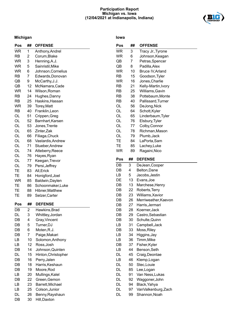## **Participation Report Michigan vs. Iowa (12/04/2021 at Indianapolis, Indiana)**



## **Michigan**

## **Iowa**

| Pos       | ##             | <b>OFFENSE</b>      | Pos       | ##             | <b>OFFENSE</b>       |
|-----------|----------------|---------------------|-----------|----------------|----------------------|
| <b>WR</b> | 1              | Anthony, Andrel     | <b>WR</b> | 3              | Tracy Jr., Tyrone    |
| <b>RB</b> | $\overline{c}$ | Corum, Blake        | <b>WR</b> | 6              | Johnson, Keagan      |
| <b>WR</b> | 3              | Henning, A.J.       | QB        | $\overline{7}$ | Petras, Spencer      |
| <b>WR</b> | 5              | Sainristil, Mike    | QB        | 8              | Padilla, Alex        |
| <b>WR</b> | 6              | Johnson, Cornelius  | <b>WR</b> | 10             | Bruce IV, Arland     |
| <b>RB</b> | $\overline{7}$ | Edwards, Donovan    | <b>RB</b> | 15             | Goodson, Tyler       |
| QB        | 9              | McCarthy, J.J.      | <b>WR</b> | 16             | Jones, Charlie       |
| QB        | 12             | McNamara, Cade      | <b>RB</b> | 21             | Kelly-Martin, Ivory  |
| <b>WR</b> | 14             | Wilson, Roman       | <b>RB</b> | 25             | Williams, Gavin      |
| <b>RB</b> | 24             | Hughes, Danny       | <b>RB</b> | 38             | Pottebaum, Monte     |
| <b>RB</b> | 25             | Haskins, Hassan     | <b>RB</b> | 40             | Pallissard, Turner   |
| <b>WR</b> | 39             | Torey, Matt         | OL        | 56             | DeJong, Nick         |
| <b>RB</b> | 40             | Franklin, Leon      | OL        | 64             | Schott, Kyler        |
| OL        | 51             | Crippen, Greg       | OL        | 65             | Linderbaum, Tyler    |
| OL        | 52             | Barnhart, Karsen    | OL        | 76             | Elsbury, Tyler       |
| OL        | 53             | Jones, Trente       | OL        | 77             | Colby, Connor        |
| OL        | 65             | Zinter, Zak         | OL        | 78             | Richman, Mason       |
| OL        | 66             | Filiaga, Chuck      | <b>OL</b> | 79             | Plumb, Jack          |
| OL        | 68             | Vastardis, Andrew   | TE        | 84             | LaPorta, Sam         |
| OL        | 71             | Stueber, Andrew     | TE        | 85             | Lachey, Luke         |
| OL        | 74             | Atteberry, Reece    | <b>WR</b> | 89             | Ragaini, Nico        |
| <b>OL</b> | 76             | Hayes, Ryan         |           |                |                      |
| OL        | 77             | Keegan, Trevor      | Pos       | ##             | <b>DEFENSE</b>       |
| OL        | 79             | Persi, Jeffrey      | DB        | 3              | DeJean, Cooper       |
| TE        | 83             | All, Erick          | DB        | $\overline{4}$ | Belton, Dane         |
| <b>TE</b> | 84             | Honigford, Joel     | LB        | 5              | Jacobs, Jestin       |
| <b>WR</b> | 85             | Baldwin, Daylen     | DE        | 13             | Evans, Joe           |
| TE        | 86             | Schoonmaker, Luke   | DB        | 13             | Marchese, Henry      |
| TE        | 88             | Hibner, Matthew     | DB        | 22             | Roberts, Terry       |
| TE        | 89             | Selzer, Carter      | DB        | 23             | Williams, Xavior     |
|           |                |                     | DB        | 26             | Merriweather, Kaevon |
| Pos       | ##             | <b>DEFENSE</b>      | DB        | 27             | Harris, Jermari      |
| DB        | $\overline{2}$ | Hawkins, Brad       | DB        | 28             | Koerner, Jack        |
| DL        | 3              | Whittley, Jordan    | DB        | 29             | Castro, Sebastian    |
| DB        | 4              | Gray, Vincent       | DB        | 30             | Schulte, Quinn       |
| DB        | 5              | Turner, DJ          | LB        | 31             | Campbell, Jack       |
| DB        | 6              | Moten, R.J.         | DB        | 33             | Moss, Riley          |
| DB        | $\overline{7}$ | Paige, Makari       | LB        | 34             | Higgins, Jay         |
| LB        | 10             | Solomon, Anthony    | LB        | 36             | Timm, Mike           |
| LB        | 12             | Ross, Josh          | DB        | 37             | Fisher, Kyler        |
| DB        | 14             | Johnson, Quinten    | LB        | 44             | Benson, Seth         |
| DL        | 15             | Hinton, Christopher | DL        | 45             | Craig, Deontae       |
| DB        | 16             | Perry, Jalen        | LB        | 46             | Klemp, Logan         |
| DB        | 18             | Harris, Keshaun     | DL        | 50             | Stec, Louie          |
| DB        | 19             | Moore, Rod          | DL        | 85             | Lee, Logan           |
| LB        | 20             | Mullings, Kalel     | DL        | 91             | Van Ness, Lukas      |
| DB        | 22             | Green, Gemon        | DL        | 92             | Waggoner, John       |
| LB        | 23             | Barrett, Michael    | DL        | 94             | Black, Yahya         |
| LB        | 25             | Colson, Junior      | DL        | 97             | VanValkenburg, Zach  |
| DL        | 26             | Benny, Rayshaun     | DL        | 99             | Shannon, Noah        |
| DB        | 30             | Hill, Daxton        |           |                |                      |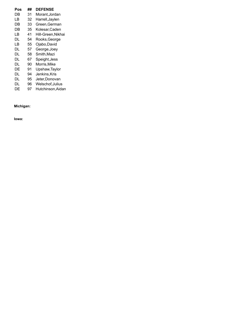| Pos | ## | <b>DEFENSE</b>     |
|-----|----|--------------------|
| DΒ  | 31 | Morant, Jordan     |
| LB  | 32 | Harrell,Jaylen     |
| DB  | 33 | Green, German      |
| DB  | 35 | Kolesar, Caden     |
| LB  | 41 | Hill-Green, Nikhai |
| DL  | 54 | Rooks, George      |
| LB  | 55 | Ojabo, David       |
| DL  | 57 | George, Joey       |
| DL  | 58 | Smith, Mazi        |
| DL  | 67 | Speight, Jess      |
| DL  | 90 | Morris, Mike       |
| DE  | 91 | Upshaw, Taylor     |
| DL  | 94 | Jenkins,Kris       |
| DL  | 95 | Jeter,Donovan      |
| DL  | 96 | Welschof, Julius   |
| DE  | 97 | Hutchinson, Aidan  |

## **Michigan:**

**Iowa:**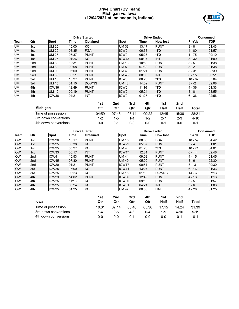## **Drive Chart (By Team) Michigan vs. Iowa (12/04/2021 at Indianapolis, Indiana)**



|           |                 |              |       | <b>Drive Started</b> |                   | <b>Drive Ended</b> | <b>Consumed</b> |               |            |
|-----------|-----------------|--------------|-------|----------------------|-------------------|--------------------|-----------------|---------------|------------|
| Team      | Qtr             | <b>Spot</b>  | Time  | <b>Obtained</b>      | Spot              | Time               | <b>How lost</b> | <b>PI-Yds</b> | <b>TOP</b> |
| UM        | 1st             | <b>UM 25</b> | 15:00 | KO                   | <b>UM33</b>       | 13:17              | <b>PUNT</b>     | $3 - 8$       | 01:43      |
| <b>UM</b> | 1st             | <b>UM 20</b> | 08:35 | <b>FGA</b>           | <b>IOWO</b>       | 06:38              | $*TD$           | $4 - 80$      | 01:57      |
| <b>UM</b> | 1st             | <b>UM 25</b> | 05:37 | <b>PUNT</b>          | <b>IOWO</b>       | 05:27              | *TD             | $1 - 75$      | 00:10      |
| <b>UM</b> | 1st             | <b>UM 25</b> | 01:26 | KO.                  | IOW <sub>43</sub> | 00:17              | <b>INT</b>      | $3 - 32$      | 01:09      |
| <b>UM</b> | 2nd             | <b>UM8</b>   | 12:31 | <b>PUNT</b>          | <b>UM 13</b>      | 10:53              | <b>PUNT</b>     | $3 - 5$       | 01:38      |
| <b>UM</b> | 2nd             | <b>UM3</b>   | 09:08 | <b>PUNT</b>          | <b>UM 5</b>       | 07:30              | <b>PUNT</b>     | $3 - 2$       | 01:38      |
| <b>UM</b> | 2nd             | <b>UM9</b>   | 05:00 | <b>PUNT</b>          | <b>UM40</b>       | 01:21              | <b>PUNT</b>     | $8 - 31$      | 03:39      |
| <b>UM</b> | 2 <sub>nd</sub> | <b>UM33</b>  | 00:51 | <b>PUNT</b>          | <b>UM48</b>       | 00:00              | <b>INT</b>      | $6 - 15$      | 00:51      |
| <b>UM</b> | 3rd             | <b>UM 18</b> | 13:27 | <b>PUNT</b>          | <b>IOWO</b>       | 08:23              | *TD             | $10 - 82$     | 05:04      |
| <b>UM</b> | 3rd             | <b>UM 15</b> | 01:10 | <b>DOWNS</b>         | <b>UM 13</b>      | 14:02              | <b>PUNT</b>     | $3 - -2$      | 02:08      |
| <b>UM</b> | 4th             | IOW36        | 12:49 | <b>PUNT</b>          | <b>IOWO</b>       | 11:16              | *TD             | 4 - 36        | 01:33      |
| <b>UM</b> | 4th             | <b>UM 19</b> | 09:19 | <b>PUNT</b>          | <b>IOWO</b>       | 05:24              | $*TD$           | $8 - 81$      | 03:55      |
| <b>UM</b> | 4th             | IOW36        | 04:21 | INT                  | <b>IOWO</b>       | 01:25              | *TD             | $6 - 36$      | 02:56      |

|                      | 1st     | 2nd     | 3rd   | 4th     | 1st     | 2nd     |          |
|----------------------|---------|---------|-------|---------|---------|---------|----------|
| <b>Michigan</b>      | Qtr     | Qtr     | Qtr   | Qtr     | Half    | Half    | Total    |
| Time of possession   | 04:59   | 07:46   | 06:14 | 09:22   | 12:45   | 15:36   | 28:21    |
| 3rd down conversions | $1 - 2$ | $1 - 5$ | 1-1   | $1 - 2$ | $2 - 7$ | $2 - 3$ | $4 - 10$ |
| 4th down conversions | 0-0     | በ-1     | 0-0   | 0-0     | በ-1     | ი-ი     | $0 - 1$  |

|            |                      |              |       | <b>Drive Started</b> |     |         |                   | <b>Drive Ended</b> |                 |         | <b>Consumed</b> |            |
|------------|----------------------|--------------|-------|----------------------|-----|---------|-------------------|--------------------|-----------------|---------|-----------------|------------|
| Team       | Qtr                  | <b>Spot</b>  | Time  | <b>Obtained</b>      |     |         | <b>Spot</b>       | Time               | <b>How lost</b> |         | PI-Yds          | <b>TOP</b> |
| <b>IOW</b> | 1st                  | IOW26        | 13:17 | <b>PUNT</b>          |     |         | <b>UM 15</b>      | 08:35              | <b>FGA</b>      |         | $10 - 59$       | 04:42      |
| <b>IOW</b> | 1st                  | <b>IOW25</b> | 06:38 | KO                   |     |         | IOW <sub>29</sub> | 05:37              | <b>PUNT</b>     |         | $3 - 4$         | 01:01      |
| <b>IOW</b> | 1st                  | IOW25        | 05:27 | KO                   |     |         | <b>UM4</b>        | 01:26              | *FG             |         | $10 - 71$       | 04:01      |
| <b>IOW</b> | 1st                  | IOW33        | 00:17 | <b>INT</b>           |     |         | IOW47             | 12:31              | <b>PUNT</b>     |         | $6 - 14$        | 02:46      |
| <b>IOW</b> | 2nd                  | IOW41        | 10:53 | <b>PUNT</b>          |     |         | <b>UM 44</b>      | 09:08              | <b>PUNT</b>     |         | 4 - 15          | 01:45      |
| <b>IOW</b> | 2 <sub>nd</sub>      | <b>IOW45</b> | 07:30 | <b>PUNT</b>          |     |         | <b>UM 49</b>      | 05:00              | <b>PUNT</b>     |         | $3 - 6$         | 02:30      |
| <b>IOW</b> | 2nd                  | IOW20        | 01:21 | <b>PUNT</b>          |     |         | IOW <sub>17</sub> | 00:51              | <b>PUNT</b>     |         | $3 - -3$        | 00:30      |
| <b>IOW</b> | 3rd                  | IOW25        | 15:00 | KO                   |     |         | <b>IOW41</b>      | 13:27              | <b>PUNT</b>     |         | $6 - 16$        | 01:33      |
| <b>IOW</b> | 3rd                  | IOW25        | 08:23 | KO                   |     |         | <b>UM 15</b>      | 01:10              | <b>DOWNS</b>    |         | $14 - 60$       | 07:13      |
| <b>IOW</b> | 4th                  | IOW23        | 14:02 | <b>PUNT</b>          |     |         | IOW36             | 12:49              | <b>PUNT</b>     |         | $4 - 13$        | 01:13      |
| <b>IOW</b> | 4th                  | IOW25        | 11:16 | KO                   |     |         | IOW30             | 09:19              | <b>PUNT</b>     |         | $3 - 5$         | 01:57      |
| <b>IOW</b> | 4th                  | IOW25        | 05:24 | KO                   |     |         | IOW31             | 04:21              | <b>INT</b>      |         | $3 - 6$         | 01:03      |
| <b>IOW</b> | 4th                  | IOW25        | 01:25 | KO                   |     |         | <b>UM 47</b>      | 00:00              | <b>HALF</b>     |         | $4 - 28$        | 01:25      |
|            |                      |              |       |                      | 1st | 2nd     | 3rd               | 4th                | 1st             | 2nd     |                 |            |
|            | lowa                 |              |       |                      | Qtr | Qtr     | Qtr               | Qtr                | Half            | Half    | Total           |            |
|            | Time of possession   |              |       |                      |     | 07:14   | 08:46             | 05:38              | 17:15           | 14:24   | 31:39           |            |
|            | 3rd down conversions |              |       |                      |     | $0 - 5$ | 4-6               | $0 - 4$            | 1-9             | 4-10    | $5 - 19$        |            |
|            | 4th down conversions |              |       |                      |     | $0-0$   | $0 - 1$           | $0-0$              | $0-0$           | $0 - 1$ | $0 - 1$         |            |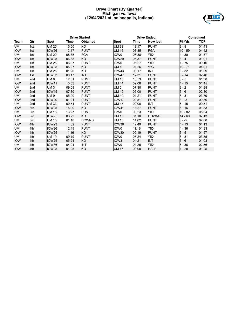## **Drive Chart (By Quarter) Michigan vs. Iowa (12/04/2021 at Indianapolis, Indiana)**



|            |                 |              |       | <b>Drive Started</b> |                   |       | <b>Drive Ended</b> |           | <b>Consumed</b> |
|------------|-----------------|--------------|-------|----------------------|-------------------|-------|--------------------|-----------|-----------------|
| Team       | Qtr             | <b>Spot</b>  | Time  | <b>Obtained</b>      | <b>Spot</b>       | Time  | <b>How lost</b>    | PI-Yds    | <b>TOP</b>      |
| UM         | 1st             | <b>UM 25</b> | 15:00 | KO                   | <b>UM33</b>       | 13:17 | <b>PUNT</b>        | $3 - 8$   | 01:43           |
| <b>IOW</b> | 1st             | <b>IOW26</b> | 13:17 | <b>PUNT</b>          | <b>UM 15</b>      | 08:35 | <b>FGA</b>         | $10 - 59$ | 04:42           |
| UM         | 1st             | <b>UM 20</b> | 08:35 | <b>FGA</b>           | IOW <sub>0</sub>  | 06:38 | *TD                | $4 - 80$  | 01:57           |
| <b>IOW</b> | 1st             | IOW25        | 06:38 | KO                   | IOW <sub>29</sub> | 05:37 | <b>PUNT</b>        | $3 - 4$   | 01:01           |
| UM         | 1st             | <b>UM 25</b> | 05:37 | <b>PUNT</b>          | IOW0              | 05:27 | *TD                | $1 - 75$  | 00:10           |
| <b>IOW</b> | 1st             | <b>IOW25</b> | 05:27 | KO                   | <b>UM4</b>        | 01:26 | *FG                | $10 - 71$ | 04:01           |
| <b>UM</b>  | 1st             | <b>UM 25</b> | 01:26 | KO                   | IOW43             | 00:17 | <b>INT</b>         | $3 - 32$  | 01:09           |
| <b>IOW</b> | 1st             | <b>IOW33</b> | 00:17 | <b>INT</b>           | IOW47             | 12:31 | <b>PUNT</b>        | $6 - 14$  | 02:46           |
| UM         | 2 <sub>nd</sub> | <b>UM8</b>   | 12:31 | <b>PUNT</b>          | <b>UM 13</b>      | 10:53 | <b>PUNT</b>        | $3 - 5$   | 01:38           |
| <b>IOW</b> | 2 <sub>nd</sub> | <b>IOW41</b> | 10:53 | <b>PUNT</b>          | <b>UM 44</b>      | 09:08 | <b>PUNT</b>        | $4 - 15$  | 01:45           |
| UM         | 2nd             | <b>UM3</b>   | 09:08 | <b>PUNT</b>          | <b>UM 5</b>       | 07:30 | <b>PUNT</b>        | $3 - 2$   | 01:38           |
| <b>IOW</b> | 2 <sub>nd</sub> | <b>IOW45</b> | 07:30 | <b>PUNT</b>          | <b>UM 49</b>      | 05:00 | <b>PUNT</b>        | $3 - 6$   | 02:30           |
| UM         | 2nd             | <b>UM9</b>   | 05:00 | <b>PUNT</b>          | <b>UM 40</b>      | 01:21 | <b>PUNT</b>        | $8 - 31$  | 03:39           |
| <b>IOW</b> | 2 <sub>nd</sub> | <b>IOW20</b> | 01:21 | <b>PUNT</b>          | IOW <sub>17</sub> | 00:51 | <b>PUNT</b>        | $3 - -3$  | 00:30           |
| UM         | 2 <sub>nd</sub> | <b>UM33</b>  | 00:51 | <b>PUNT</b>          | <b>UM 48</b>      | 00:00 | <b>INT</b>         | $6 - 15$  | 00:51           |
| <b>IOW</b> | 3rd             | IOW25        | 15:00 | KO                   | <b>IOW41</b>      | 13:27 | <b>PUNT</b>        | $6 - 16$  | 01:33           |
| UM         | 3rd             | <b>UM 18</b> | 13:27 | <b>PUNT</b>          | IOW <sub>0</sub>  | 08:23 | *TD                | $10 - 82$ | 05:04           |
| <b>IOW</b> | 3rd             | <b>IOW25</b> | 08:23 | KO.                  | <b>UM 15</b>      | 01:10 | <b>DOWNS</b>       | $14 - 60$ | 07:13           |
| UM         | 3rd             | <b>UM 15</b> | 01:10 | <b>DOWNS</b>         | <b>UM 13</b>      | 14:02 | <b>PUNT</b>        | $3 - -2$  | 02:08           |
| <b>IOW</b> | 4th             | IOW23        | 14:02 | <b>PUNT</b>          | IOW36             | 12:49 | <b>PUNT</b>        | $4 - 13$  | 01:13           |
| <b>UM</b>  | 4th             | IOW36        | 12:49 | <b>PUNT</b>          | <b>IOW0</b>       | 11:16 | *TD                | $4 - 36$  | 01:33           |
| <b>IOW</b> | 4th             | <b>IOW25</b> | 11:16 | KO                   | IOW30             | 09:19 | <b>PUNT</b>        | $3 - 5$   | 01:57           |
| <b>UM</b>  | 4th             | <b>UM 19</b> | 09:19 | <b>PUNT</b>          | IOW <sub>0</sub>  | 05:24 | *TD                | $8 - 81$  | 03:55           |
| <b>IOW</b> | 4th             | <b>IOW25</b> | 05:24 | <b>KO</b>            | <b>IOW31</b>      | 04:21 | <b>INT</b>         | $3 - 6$   | 01:03           |
| UM         | 4th             | IOW36        | 04:21 | INT                  | IOW <sub>0</sub>  | 01:25 | *TD                | 6 - 36    | 02:56           |
| <b>IOW</b> | 4th             | <b>IOW25</b> | 01:25 | <b>KO</b>            | <b>UM 47</b>      | 00:00 | <b>HALF</b>        | $4 - 28$  | 01:25           |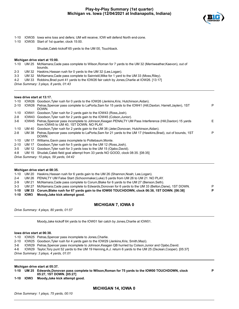

**P**

- 1-10 IOW35 Iowa wins toss and defers; UM will receive; IOW will defend North end-zone.
- 1-10 IOW35 Start of 1st quarter, clock 15:00.

Shudak,Caleb kickoff 65 yards to the UM 00, Touchback.

#### **Michigan drive start at 15:00.**

1-10 UM 25 McNamara,Cade pass complete to Wilson,Roman for 7 yards to the UM 32 (Merriweather,Kaevon), out of bounds.

- 2-3 UM 32 Haskins,Hassan rush for 0 yards to the UM 32 (Lee,Logan).
- 3-3 UM 32 McNamara,Cade pass complete to Sainristil,Mike for 1 yard to the UM 33 (Moss,Riley).
- 4-2 UM 33 Robbins,Brad punt 41 yards to the IOW26 fair catch by Jones,Charlie at IOW26. [13:17]

*Drive Summary: 3 plays, 8 yards, 01:43*

#### **Iowa drive start at 13:17.**

| $1 - 10$ | IOW26        | Goodson, Tyler rush for 0 yards to the IOW26 (Jenkins, Kris: Hutchinson, Aidan).                                                                   |   |
|----------|--------------|----------------------------------------------------------------------------------------------------------------------------------------------------|---|
| $2 - 10$ | IOW26        | Petras, Spencer pass complete to LaPorta, Sam for 15 yards to the IOW41 (Hill, Daxton; Harrell, Jaylen), 1ST<br>DOWN.                              | P |
| 1-10     | IOW41        | Goodson, Tyler rush for 2 yards gain to the IOW43 (Ross, Josh).                                                                                    |   |
| $2 - 8$  | IOW43        | Goodson, Tyler rush for 2 yards gain to the IOW45 (Colson, Junior).                                                                                |   |
| 3-6      | IOW45        | Petras, Spencer pass incomplete to Johnson, Keagan PENALTY UM Pass Interference (Hill, Daxton) 15 yards<br>from IOW45 to UM 40, 1ST DOWN. NO PLAY. | Е |
| $1 - 10$ | UM 40        | Goodson, Tyler rush for 2 yards gain to the UM 38 (Jeter, Donovan; Hutchinson, Aidan).                                                             |   |
| $2 - 8$  | UM 38        | Petras, Spencer pass complete to LaPorta, Sam for 21 yards to the UM 17 (Hawkins, Brad), out of bounds, 1ST<br>DOWN.                               | P |
| $1 - 10$ | UM 17        | Williams, Gavin pass incomplete to Pottebaum, Monte.                                                                                               |   |
| $2 - 10$ | <b>UM 17</b> | Goodson, Tyler rush for 5 yards gain to the UM 12 (Ross, Josh).                                                                                    |   |
| $3 - 5$  | UM 12        | Goodson, Tyler rush for 3 yards loss to the UM 15 (Ojabo, David).                                                                                  |   |
| 4-8      | UM 15        | Shudak, Caleb field goal attempt from 33 yards NO GOOD, clock 08:35, [08:35]                                                                       |   |
|          |              | Drive Summary: 10 plays, 59 yards, 04:42                                                                                                           |   |
|          |              |                                                                                                                                                    |   |

#### **Michigan drive start at 08:35.**

|         | 1-10 UM 20 Haskins, Hassan rush for 6 yards gain to the UM 26 (Shannon, Noah; Lee, Logan).                |   |
|---------|-----------------------------------------------------------------------------------------------------------|---|
| $2 - 4$ | UM 26 PENALTY UM False Start (Schoonmaker, Luke) 5 yards from UM 26 to UM 21. NO PLAY.                    |   |
| $2-9$   | UM 21 McNamara, Cade pass complete to Corum, Blake for 6 yards to the UM 27 (Benson, Seth).               |   |
| 3-3     | UM 27 McNamara, Cade pass complete to Edwards, Donovan for 6 yards to the UM 33 (Belton, Dane), 1ST DOWN. | P |
|         | 1-10 UM 33 Corum, Blake rush for 67 yards gain to the IOW00 TOUCHDOWN, clock 06:38, 1ST DOWN. [06:38]     | P |
|         | 1-10 IOW3 Moody, Jake kick attempt good.                                                                  |   |

## **MICHIGAN 7, IOWA 0**

*Drive Summary: 4 plays, 80 yards, 01:57*

Moody,Jake kickoff 64 yards to the IOW01 fair catch by Jones,Charlie at IOW01.

#### **Iowa drive start at 06:38.**

1-10 IOW25 Petras,Spencer pass incomplete to Jones,Charlie.

2-10 IOW25 Goodson,Tyler rush for 4 yards gain to the IOW29 (Jenkins,Kris; Smith,Mazi).

3-6 IOW29 Petras,Spencer pass incomplete to Johnson,Keagan QB hurried by Colson,Junior and Ojabo,David.

4-6 IOW29 Taylor,Tory punt 52 yards to the UM 19 Henning,A.J. return 6 yards to the UM 25 (DeJean,Cooper). [05:37]

*Drive Summary: 3 plays, 4 yards, 01:01*

#### **Michigan drive start at 05:37.**

**1-10 UM 25 Edwards,Donovan pass complete to Wilson,Roman for 75 yards to the IOW00 TOUCHDOWN, clock 05:27, 1ST DOWN. [05:27]**

**1-10 IOW3 Moody,Jake kick attempt good.**

### **MICHIGAN 14, IOWA 0**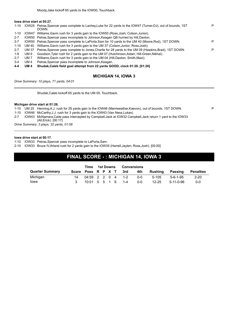#### **Iowa drive start at 05:27.**

| 1-10     |       | IOW25 Petras, Spencer pass complete to Lachey, Luke for 22 yards to the IOW47 (Turner, DJ), out of bounds, 1ST<br>DOWN. | P |
|----------|-------|-------------------------------------------------------------------------------------------------------------------------|---|
| 1-10     | IOW47 | Williams, Gavin rush for 3 yards gain to the IOW50 (Ross, Josh; Colson, Junior).                                        |   |
| $2 - 7$  | IOW50 | Petras, Spencer pass incomplete to Johnson, Keagan QB hurried by Hill, Daxton.                                          |   |
| $3 - 7$  |       | IOW50 Petras, Spencer pass complete to LaPorta, Sam for 10 yards to the UM 40 (Moore, Rod), 1ST DOWN.                   | P |
| $1 - 10$ | UM 40 | Williams, Gavin rush for 3 yards gain to the UM 37 (Colson, Junior; Ross, Josh).                                        |   |
| $2 - 7$  | UM 37 | Petras, Spencer pass complete to Jones, Charlie for 28 yards to the UM 09 (Hawkins, Brad), 1ST DOWN.                    | P |
| 1-9      | UM 9  | Goodson, Tyler rush for 2 yards gain to the UM 07 (Hutchinson, Aidan; Hill-Green, Nikhai).                              |   |
| $2 - 7$  | UM 7  | Williams, Gavin rush for 3 yards gain to the UM 04 (Hill, Daxton; Smith, Mazi).                                         |   |
| $3 - 4$  | UM 4  | Petras, Spencer pass incomplete to Johnson, Keagan.                                                                     |   |

**4-4 UM 4 Shudak,Caleb field goal attempt from 22 yards GOOD, clock 01:26. [01:26]**

## **MICHIGAN 14, IOWA 3**

*Drive Summary: 10 plays, 71 yards, 04:01*

Shudak,Caleb kickoff 65 yards to the UM 00, Touchback.

#### **Michigan drive start at 01:26.**

|  |  |  | 1-10 UM 25 Henning, A.J. rush for 29 yards gain to the IOW46 (Merriweather, Kaevon), out of bounds, 1ST DOWN. |  |  |
|--|--|--|---------------------------------------------------------------------------------------------------------------|--|--|
|--|--|--|---------------------------------------------------------------------------------------------------------------|--|--|

- 1-10 IOW46 McCarthy,J.J. rush for 3 yards gain to the IOW43 (Van Ness,Lukas).
- 2-7 IOW43 McNamara,Cade pass intercepted by Campbell,Jack at IOW32 Campbell,Jack return 1 yard to the IOW33 (All,Erick). [00:17]

*Drive Summary: 3 plays, 32 yards, 01:09*

#### **Iowa drive start at 00:17.**

1-10 IOW33 Petras,Spencer pass incomplete to LaPorta,Sam.

2-10 IOW33 Bruce IV,Arland rush for 2 yards gain to the IOW35 (Harrell,Jaylen; Ross,Josh). [00:00]

# **FINAL SCORE - : MICHIGAN 14, IOWA 3**

|                        |                        | Time              |  | 1st Downs | <b>Conversions</b> |         |           |                  |                  |
|------------------------|------------------------|-------------------|--|-----------|--------------------|---------|-----------|------------------|------------------|
| <b>Quarter Summary</b> | Score Poss R P X T 3rd |                   |  |           |                    | 4th     | Rushina   | Passing          | <b>Penalties</b> |
| Michigan               |                        | 04:59 2 2 0 4 1-2 |  |           |                    | $0 - 0$ | 5-105     | $5 - 6 - 1 - 95$ | $2 - 20$         |
| lowa                   |                        | 10:01 0 5 1 6     |  |           | $1 - 4$            | $0 - 0$ | $12 - 25$ | 5-11-0-96        | $0 - 0$          |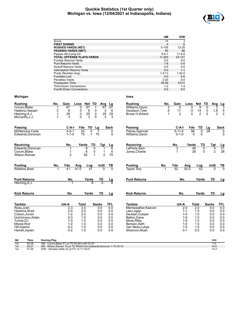## **Quickie Statistics (1st Quarter only) Michigan vs. Iowa (12/04/2021 at Indianapolis, Indiana)**



|                                 |                                                                         |                                | <b>UM</b><br><b>IOW</b>        |                      |                               |                       |
|---------------------------------|-------------------------------------------------------------------------|--------------------------------|--------------------------------|----------------------|-------------------------------|-----------------------|
|                                 | Score                                                                   |                                | 14                             | $\overline{3}$       |                               |                       |
|                                 | <b>FIRST DOWNS</b>                                                      |                                | $\overline{\mathbf{4}}$        | 6                    |                               |                       |
|                                 | <b>RUSHES-YARDS (NET)</b>                                               | $5 - 105$                      | 12-25                          |                      |                               |                       |
|                                 | <b>PASSING-YARDS (NET)</b>                                              |                                | 95<br>96                       |                      |                               |                       |
|                                 | Passes Att-Comp-Int                                                     | $6 - 5 - 1$                    | $11 - 5 - 0$                   |                      |                               |                       |
|                                 | TOTAL OFFENSE PLAYS-YARDS                                               | 11-200                         | 23-121                         |                      |                               |                       |
|                                 | Fumble Returns-Yards                                                    |                                | $0-0$<br>$0-0$                 |                      |                               |                       |
|                                 | <b>Punt Returns-Yards</b>                                               |                                | $0 - 0$<br>$1 - 6$<br>$0-0$    |                      |                               |                       |
|                                 | Kickoff Returns-Yards                                                   |                                | $0-0$<br>$0-0$<br>$1 - 1$      |                      |                               |                       |
|                                 | <b>Interception Returns-Yards</b><br>Punts (Number-Avg)                 | $1 - 41.0$                     | $1 - 52.0$                     |                      |                               |                       |
|                                 | Fumbles-Lost                                                            |                                | $0-0$<br>$0-0$                 |                      |                               |                       |
|                                 | Penalties-Yards                                                         |                                | $2 - 20$<br>$0-0$              |                      |                               |                       |
|                                 | <b>Possession Time</b>                                                  | 04:59                          | 10:01                          |                      |                               |                       |
|                                 | Third-Down Conversions                                                  |                                | $1 - 2$<br>$1 - 4$             |                      |                               |                       |
|                                 | Fourth-Down Conversions                                                 |                                | $0 - 0$<br>$0-0$               |                      |                               |                       |
|                                 |                                                                         |                                |                                |                      |                               |                       |
| Michigan                        |                                                                         | lowa                           |                                |                      |                               |                       |
| Rushing                         | No.<br>Gain<br>Loss<br>Net TD<br>Avg<br><u>Lg</u>                       | Rushing                        | No.<br>Gain                    | Loss<br>Net TD       | Avg<br>Lg                     |                       |
| Corum,Blake                     | 67<br>67<br>67<br>1<br>0<br>$\mathbf 1$<br>67                           | Williams, Gavin                | 9<br>3                         | 0<br>9               | 0<br>3                        | 3                     |
| Haskins,Hassan                  | $\boldsymbol{2}$<br>0<br>0<br>3<br>6<br>6<br>6                          | Goodson, Tyler                 | 8<br>17                        | $-3$<br>14           | 0<br>1.8                      | 5                     |
| Henning,A.J.                    | $\frac{29}{3}$<br>0<br>$\frac{29}{3}$<br>0<br>$\frac{29}{3}$<br>29<br>1 | Bruce IV, Arland               | $\overline{2}$<br>$\mathbf{1}$ | 0<br>$\overline{2}$  | $\mathbf 0$<br>$\overline{2}$ | $\overline{2}$        |
| McCarthy,J.J.                   | 0<br>0<br>3<br>$\mathbf{1}$                                             |                                |                                |                      |                               |                       |
|                                 |                                                                         |                                |                                |                      |                               |                       |
| Passing                         | C-A-I<br>Yds<br>TD<br>Sack<br>Lg                                        | Passing                        | C-A-I                          | Yds<br>TD            | <b>Sack</b><br>Lg             |                       |
| McNamara,Cade                   | $4 - 5 - 1$<br>20<br>0<br>7<br>0                                        | Petras, Spencer                | $5 - 11 - 0$                   | $\overline{0}$<br>96 | $\overline{28}$               | 0                     |
| Edwards,Donovan                 | $\mathbf{1}$<br>75<br>$1 - 1 - 0$<br>75<br>$\Omega$                     | Williams, Gavin                | $0 - 1 - 0$                    | 0<br>0               |                               | $\mathbf 0$           |
|                                 | No.<br>TD                                                               |                                |                                | TD                   |                               |                       |
| Receiving                       | Yards<br>Tgt<br>Lg<br>0                                                 | Receiving                      | No.                            | Yards<br>0           | Tgt<br>4                      | Lg<br>$2\overline{1}$ |
| Edwards, Donovan<br>Corum,Blake | 6<br>6<br>1<br>6<br>6<br>$\mathbf{1}$<br>0<br>1                         | LaPorta, Sam<br>Jones, Charlie | 3<br>1                         | 46<br>28<br>0        | $\overline{c}$                | 28                    |
| Wilson, Roman                   | 82<br>$\overline{c}$<br>$\overline{2}$<br>$\mathbf{1}$<br>75            |                                |                                |                      |                               |                       |
|                                 |                                                                         |                                |                                |                      |                               |                       |
| Punting                         | In20<br>No.<br>Yds<br>Avg<br>Lng<br>TВ                                  | <b>Punting</b><br>No.          | Yds                            | Avg<br>Lng           | In20<br>TB                    |                       |
| Robbins,Brad                    | 41<br>41.0<br>41<br>$\Omega$<br>0                                       | Taylor, Tory                   | 52                             | 52.0<br>52           | $\Omega$                      | $\overline{0}$        |
|                                 |                                                                         |                                |                                |                      |                               |                       |
| Punt Returns                    | No.<br>Yards<br>TD<br><u>Lg</u>                                         | <b>Punt Returns</b>            | No.                            | Yards                | TD                            | Lg                    |
| Henning, A.J.                   | $\Omega$<br>6                                                           |                                |                                |                      |                               |                       |
|                                 |                                                                         |                                |                                |                      |                               |                       |
| <b>Kick Returns</b>             | No.<br>TD<br>Yards<br>Lg                                                | <b>Kick Returns</b>            | No.                            | Yards                | TD                            | Lg                    |
| Tackles                         | UA-A<br><b>Total</b><br><b>TFL</b><br><b>Sacks</b>                      | <b>Tackles</b>                 | UA-A                           | Total                | <b>Sacks</b><br><b>TFL</b>    |                       |
| Ross, Josh                      | $\overline{3.5}$<br>0.0<br>$2 - 3$<br>0.0                               | Merriweather, Kaevon           |                                | $2 - 0$<br>2.0       | 0.0<br>0.0                    |                       |
| Hawkins, Brad                   | $2 - 0$<br>2.0<br>0.0<br>0.0                                            | Lee, Logan                     |                                | 1.5<br>$1 - 1$       | 0.0<br>0.0                    |                       |
| Colson,Junior                   | $1 - 2$<br>2.0<br>0.0<br>0.0                                            | DeJean, Cooper                 |                                | $1 - 0$<br>1.0       | 0.0<br>0.0                    |                       |
| Hutchinson, Aidan               | $0 - 3$<br>1.5<br>0.0<br>0.0                                            | Belton, Dane                   |                                | 1.0<br>$1 - 0$       | 0.0<br>0.0                    |                       |
| Turner,DJ                       | $1 - 0$<br>1.0<br>0.0<br>0.0                                            | Moss, Riley                    |                                | $1 - 0$<br>1.0       | 0.0<br>0.0                    |                       |
| Moore,Rod                       | $1 - 0$<br>1.0<br>0.0<br>0.0                                            | Benson, Seth                   |                                | $1 - 0$<br>1.0       | 0.0<br>0.0                    |                       |
| Hill,Daxton                     | $0 - 2$<br>0.0<br>1.0<br>0.0                                            | Van Ness, Lukas                |                                | $1 - 0$<br>1.0       | 0.0<br>0.0                    |                       |
| Harrell, Jaylen                 | $0 - 2$<br>1.0<br>0.0<br>0.0                                            | Shannon, Noah                  |                                | $0 - 1$<br>0.5       | 0.0<br>0.0                    |                       |
|                                 |                                                                         |                                |                                |                      |                               |                       |
|                                 |                                                                         |                                |                                |                      |                               |                       |

| Qtr | Time  | <b>Scoring Play</b>                                             | V-H      |
|-----|-------|-----------------------------------------------------------------|----------|
| 1st | 06:38 | - Corum Blake 67 vd TD RUSH 4-80 01:57<br>JM - (                |          |
| 1st | 05:27 | UM - Wilson Roman 75 vd TD PASS from Edwards Donovan 1-75 00:10 | $14 - 6$ |
| 1st | 01:26 | IOW - Shudak, Caleb 22 yd FG 10-71 04:01                        | 14∹.     |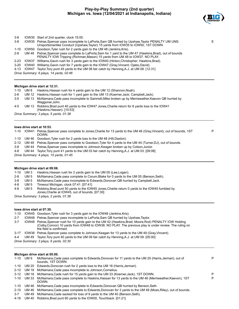

E

| 3-8      |                                         | IOW35 Start of 2nd quarter, clock 15:00.                                                                                                                                                   |  |  |  |
|----------|-----------------------------------------|--------------------------------------------------------------------------------------------------------------------------------------------------------------------------------------------|--|--|--|
| 3-8      |                                         | IOW35 Petras. Spencer pass incomplete to LaPorta. Sam QB hurried by Upshaw. Taylor PENALTY UM UNS:<br>Unsportsmanlike Conduct (Upshaw, Taylor) 15 yards from IOW35 to IOW50, 1ST DOWN.     |  |  |  |
| 1-10     |                                         | IOW50 Goodson, Tyler rush for 2 yards gain to the UM 48 (Jenkins, Kris).                                                                                                                   |  |  |  |
| 2-8      |                                         | UM 48 Petras, Spencer pass complete to LaPorta, Sam for 1 yard to the UM 47 (Hawkins, Brad), out of bounds<br>PENALTY IOW Tripping (Richman, Mason) 15 yards from UM 48 to IOW37, NO PLAY. |  |  |  |
| $2 - 23$ |                                         | IOW37 Williams, Gavin rush for 3 yards gain to the IOW40 (Hinton, Christopher; Hawkins, Brad).                                                                                             |  |  |  |
| $3-20$   |                                         | IOW40 Williams, Gavin rush for 7 yards gain to the IOW47 (Gray, Vincent; Ojabo, David).                                                                                                    |  |  |  |
| 4-13     |                                         | IOW47 Taylor, Tory punt 45 yards to the UM 08 fair catch by Henning A.J. at UM 08. [12:31]                                                                                                 |  |  |  |
|          | Drive Summary: 6 plays, 14 yards, 02:46 |                                                                                                                                                                                            |  |  |  |

## **Michigan drive start at 12:31.**

| 1-10    | UM 8 | Haskins, Hassan rush for 4 yards gain to the UM 12 (Shannon, Noah).                                                              |
|---------|------|----------------------------------------------------------------------------------------------------------------------------------|
| $2-6$   |      | UM 12 Haskins, Hassan rush for 1 yard gain to the UM 13 (Koerner, Jack; Campbell, Jack).                                         |
| $3 - 5$ |      | UM 13 McNamara. Cade pass incomplete to Sainristil, Mike broken up by Merriweather, Kaevon QB hurried by<br>Waggoner.John.       |
| 4-5     |      | UM 13 Robbins, Brad punt 40 yards to the IOW47 Jones, Charlie return for 6 yards loss to the IOW41<br>(Haskins, Hassan). [10:53] |
|         |      | Drive Summary: 3 plays, 5 yards, 01:38                                                                                           |

## **Iowa drive start at 10:53.**

| 1-10 | IOW41 Petras, Spencer pass complete to Jones, Charlie for 13 yards to the UM 46 (Gray, Vincent), out of bounds, 1ST<br>DOWN. | P |
|------|------------------------------------------------------------------------------------------------------------------------------|---|
| 1-10 | UM 46 Goodson, Tyler rush for 2 yards loss to the UM 48 (Hill, Daxton).                                                      |   |
| 2-12 | UM 48 Petras, Spencer pass complete to Goodson, Tyler for 4 yards to the UM 44 (Turner, DJ), out of bounds.                  |   |
| 3-8  | UM 44 Petras, Spencer pass incomplete to Johnson, Keagan broken up by Colson, Junior.                                        |   |
| 4-8  | UM 44 Taylor, Tory punt 41 yards to the UM 03 fair catch by Henning A.J. at UM 03. [09:08]                                   |   |
|      | Drive Summary: 4 plays, 15 yards, 01:45                                                                                      |   |
|      |                                                                                                                              |   |

## **Michigan drive start at 09:08.**

| $1 - 10$ | UM 3 | Haskins, Hassan rush for 2 yards gain to the UM 05 (Lee, Logan).                                                                                 |
|----------|------|--------------------------------------------------------------------------------------------------------------------------------------------------|
| $2 - 8$  | UM 5 | McNamara, Cade pass complete to Corum, Blake for 0 yards to the UM 05 (Benson, Seth).                                                            |
| $3 - 8$  | UM 5 | McNamara, Cade pass incomplete to Edwards, Donovan QB hurried by Campbell, Jack.                                                                 |
| 4-8      | UM 5 | Timeout Michigan, clock 07:41. [07:41]                                                                                                           |
| $4 - 8$  | UM 5 | Robbins, Brad punt 50 yards to the IOW45 Jones, Charlie return 0 yards to the IOW45 fumbled by<br>Jones Charlie at IOW45, out of bounds. [07:30] |
|          |      | $Dirichlet$ Cummany 2 plays 2 varde $04.29$                                                                                                      |

*Drive Summary: 3 plays, 2 yards, 01:38*

#### **Iowa drive start at 07:30.**

| $1 - 10$ |              | IOW45 Goodson, Tyler rush for 3 yards gain to the IOW48 (Jenkins, Kris).                                                                                                                                                                  |   |
|----------|--------------|-------------------------------------------------------------------------------------------------------------------------------------------------------------------------------------------------------------------------------------------|---|
| $2 - 7$  |              | IOW48 Petras, Spencer pass incomplete to LaPorta, Sam QB hurried by Upshaw, Taylor.                                                                                                                                                       |   |
| $3 - 7$  | IOW48        | Petras, Spencer rush for 10 yards gain to the UM 42 (Hawkins, Brad; Moore, Rod) PENALTY IOW Holding<br>(Colby, Connor) 10 yards from IOW48 to IOW38. NO PLAY. The previous play is under review. The ruling on<br>the field is confirmed. |   |
| $3 - 17$ | IOW38        | Petras, Spencer pass complete to Johnson, Keagan for 13 yards to the UM 49 (Gray, Vincent).                                                                                                                                               |   |
| $4 - 4$  |              | UM 49 Taylor, Tory punt 40 yards to the UM 09 fair catch by Henning, A.J. at UM 09. [05:00]                                                                                                                                               |   |
|          |              | Drive Summary: 3 plays, 6 yards, 02:30                                                                                                                                                                                                    |   |
|          |              | Michigan drive start at 05:00.                                                                                                                                                                                                            |   |
|          | 1-10 UM 9    | McNamara, Cade pass complete to Edwards, Donovan for 11 yards to the UM 20 (Harris, Jermari), out of<br>bounds, 1ST DOWN.                                                                                                                 | P |
| $1 - 10$ | UM 20        | Edwards, Donovan rush for 2 yards loss to the UM 18 (Harris, Jermari).                                                                                                                                                                    |   |
| $2 - 12$ | UM 18        | McNamara, Cade pass incomplete to Johnson, Cornelius.                                                                                                                                                                                     |   |
| $3 - 12$ | <b>UM 18</b> | McNamara, Cade rush for 15 yards gain to the UM 33 (Koerner, Jack), 1ST DOWN.                                                                                                                                                             | P |
| $1 - 10$ | UM 33        | McNamara, Cade pass complete to Haskins, Hassan for 13 yards to the UM 46 (Merriweather, Kaevon), 1ST<br>DOWN.                                                                                                                            | P |
| $1 - 10$ | UM 46        | McNamara, Cade pass incomplete to Edwards, Donovan QB hurried by Benson, Seth.                                                                                                                                                            |   |
| $2 - 10$ | UM 46        | McNamara, Cade pass complete to Edwards, Donovan for 3 yards to the UM 49 (Moss, Riley), out of bounds.                                                                                                                                   |   |
| $3 - 7$  | UM 49        | McNamara, Cade sacked for loss of 9 yards to the UM 40 (Benson, Seth).                                                                                                                                                                    |   |
| 4-16     | UM 40        | Robbins, Brad punt 60 yards to the IOW00, Touchback. [01:21]                                                                                                                                                                              |   |
|          |              |                                                                                                                                                                                                                                           |   |
|          |              |                                                                                                                                                                                                                                           |   |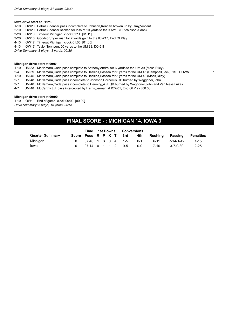## **Iowa drive start at 01:21.**

|  | 1-10 IOW20 Petras, Spencer pass incomplete to Johnson, Keagan broken up by Gray, Vincent. |
|--|-------------------------------------------------------------------------------------------|
|  | 2-10 IOW20 Petras, Spencer sacked for loss of 10 yards to the IOW10 (Hutchinson, Aidan).  |
|  | 3-20 IOW10 Timeout Michigan, clock 01:11. [01:11]                                         |
|  | 3-20 IOW10 Goodson, Tyler rush for 7 yards gain to the IOW17, End Of Play.                |
|  | 4-13 IOW17 Timeout Michigan, clock 01:05. [01:05]                                         |
|  | 4-13 IOW17 Taylor, Tory punt 50 yards to the UM 33. [00:51]                               |
|  | Drive Summary: 3 plays, -3 yards, 00:30                                                   |
|  |                                                                                           |

#### **Michigan drive start at 00:51.**

1-10 UM 33 McNamara,Cade pass complete to Anthony,Andrel for 6 yards to the UM 39 (Moss,Riley).

- 2-4 UM 39 McNamara,Cade pass complete to Haskins,Hassan for 6 yards to the UM 45 (Campbell,Jack), 1ST DOWN. P
- 1-10 UM 45 McNamara,Cade pass complete to Haskins,Hassan for 3 yards to the UM 48 (Moss,Riley).
- 2-7 UM 48 McNamara,Cade pass incomplete to Johnson,Cornelius QB hurried by Waggoner,John.
- 3-7 UM 48 McNamara,Cade pass incomplete to Henning,A.J. QB hurried by Waggoner,John and Van Ness,Lukas.
- 4-7 UM 48 McCarthy,J.J. pass intercepted by Harris,Jermari at IOW01, End Of Play. [00:00]

#### **Michigan drive start at 00:00.**

1-10 IOW1 End of game, clock 00:00. [00:00] *Drive Summary: 6 plays, 15 yards, 00:51*

# **FINAL SCORE - : MICHIGAN 14, IOWA 3**

|                        | Time              |  | 1st Downs | Conversions            |       |          |                  |           |
|------------------------|-------------------|--|-----------|------------------------|-------|----------|------------------|-----------|
| <b>Quarter Summary</b> |                   |  |           | Score Poss R P X T 3rd | 4th - | Rushina  | Passing          | Penalties |
| Michigan               |                   |  |           | 07:46 1 3 0 4 1-5      | በ-1   | $6 - 11$ | 7-14-1-42        | $1 - 15$  |
| lowa                   | 07:14 0 1 1 2 0-5 |  |           |                        | 0-0   | 7-10     | $3 - 7 - 0 - 30$ | $2 - 25$  |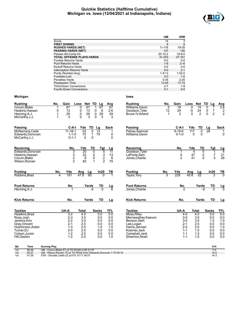## **Quickie Statistics (Halftime Cumulative) Michigan vs. Iowa (12/04/2021 at Indianapolis, Indiana)**



|                                |                                                          |                         |                    |            |                                 | UM                 | <b>IOW</b>          |             |            |                            |                       |
|--------------------------------|----------------------------------------------------------|-------------------------|--------------------|------------|---------------------------------|--------------------|---------------------|-------------|------------|----------------------------|-----------------------|
|                                | Score                                                    |                         |                    |            |                                 | 14                 | 3                   |             |            |                            |                       |
|                                | <b>FIRST DOWNS</b>                                       |                         |                    |            |                                 | 8                  | 8                   |             |            |                            |                       |
|                                | <b>RUSHES-YARDS (NET)</b>                                |                         |                    |            |                                 | 11-116             | 19-35               |             |            |                            |                       |
|                                | <b>PASSING-YARDS (NET)</b>                               |                         |                    |            |                                 | 137<br>20-12-2     | 126<br>$18 - 8 - 0$ |             |            |                            |                       |
|                                | Passes Att-Comp-Int<br><b>TOTAL OFFENSE PLAYS-YARDS</b>  |                         |                    |            |                                 | 31-253             | 37-161              |             |            |                            |                       |
|                                | <b>Fumble Returns-Yards</b>                              |                         |                    |            |                                 | $0-0$              | $0-0$               |             |            |                            |                       |
|                                | <b>Punt Returns-Yards</b>                                |                         |                    |            |                                 | $1 - 6$            | $2 - 6$             |             |            |                            |                       |
|                                | Kickoff Returns-Yards                                    |                         |                    |            |                                 | $0-0$              | $0-0$               |             |            |                            |                       |
|                                | Interception Returns-Yards                               |                         |                    |            |                                 | $0-0$              | $2 - 1$             |             |            |                            |                       |
|                                | Punts (Number-Avg)                                       |                         |                    |            |                                 | $1 - 41.0$         | $1 - 52.0$          |             |            |                            |                       |
|                                | Fumbles-Lost                                             |                         |                    |            |                                 | $0-0$              | $1 - 0$             |             |            |                            |                       |
|                                | Penalties-Yards                                          |                         |                    |            |                                 | $3 - 35$           | $2 - 25$            |             |            |                            |                       |
|                                | Possession Time                                          |                         |                    |            |                                 | 12:45              | 17:15               |             |            |                            |                       |
|                                | <b>Third-Down Conversions</b><br>Fourth-Down Conversions |                         |                    |            |                                 | $2 - 7$<br>$0 - 1$ | $1 - 9$<br>$0-0$    |             |            |                            |                       |
| Michigan                       |                                                          |                         |                    |            | lowa                            |                    |                     |             |            |                            |                       |
|                                |                                                          |                         |                    |            |                                 |                    |                     |             |            |                            |                       |
| Rushing                        | No.<br>Gain                                              | Loss                    | Net TD Lg          | Avg        | Rushing                         | No.                | Gain                | Loss        | Net TD     | Lg                         | Avg                   |
| Corum,Blake                    | 67<br>1                                                  | 67<br>0                 | 67<br>1            | 67         | Williams, Gavin                 | 5                  | 19                  | 0           | 19         | 0                          | 3.8                   |
| Haskins,Hassan                 | 5<br>13                                                  | 0<br>13                 | 0<br>6             | 2.6        | Goodson, Tyler                  | 12                 | 29                  | -5          | 24         | $\overline{7}$<br>0        | 2                     |
| Henning,A.J.                   | 29<br>1                                                  | 29<br>0                 | 29<br>0            | 29         | Bruce IV, Arland                | -1                 | $\overline{2}$      | $\Omega$    | 2          | $\overline{2}$<br>$\Omega$ | 2                     |
| McCarthy,J.J.                  | 3<br>1                                                   | 3<br>0                  | 3<br>0             | 3          |                                 |                    |                     |             |            |                            |                       |
| Passing                        | C-A-I                                                    | Yds                     | TD<br>Lg           | Sack       | Passing                         |                    | C-A-I               | Yds         | TD         | Lg                         | <b>Sack</b>           |
| McNamara,Cade                  | $11 - 18 - 1$                                            | 53                      | 0<br>13            | 1          | Petras, Spencer                 |                    | $9 - 19 - 0$        | 117         | 0          | 28                         | -1                    |
| Edwards,Donovan                | $1 - 1 - 0$                                              | 75                      | 1<br>75            | 0          | Williams, Gavin                 |                    | $0 - 1 - 0$         | 0           | 0          |                            | 0                     |
| McCarthy,J.J.                  | $0 - 1 - 1$                                              | $\Omega$                | 0                  | 0          |                                 |                    |                     |             |            |                            |                       |
|                                |                                                          |                         |                    |            |                                 |                    |                     |             |            |                            |                       |
| Receiving                      | No.                                                      | Yds                     | TD<br>Tgt          | Lg         | <b>Receiving</b>                |                    | No.                 | Yds         | TD         | Tgt                        |                       |
| Edwards,Donovan                | 3                                                        | $\overline{20}$         | 5<br>0             | 11         | Goodson, Tyler                  |                    | 1                   | 4           | 0          | 1                          | $\frac{\text{Lg}}{4}$ |
| Haskins,Hassan                 | 3                                                        | 22                      | 0                  | 13         | LaPorta, Sam                    |                    | 4                   | 47          | 0          | $\overline{7}$             | 21                    |
| Corum,Blake                    | $\overline{\mathbf{c}}$                                  | 6                       | $\frac{3}{2}$<br>0 | 6          | Jones, Charlie                  |                    | $\overline{c}$      | 41          | 0          | 3                          | 28                    |
| Wilson,Roman                   | $\overline{2}$                                           | 82                      | $\mathbf{1}$       | 75         |                                 |                    |                     |             |            |                            |                       |
|                                |                                                          |                         |                    |            |                                 |                    |                     |             |            |                            |                       |
| Punting                        | No.<br>Yds<br>4<br>191                                   | Avg<br>Lg<br>47.8<br>60 | ln20               | TВ         | <b>Punting</b>                  | No.<br>5           | Yds<br>228          | Avg<br>45.6 | Lg<br>52   | In20                       | TВ<br>$\Omega$        |
| Robbins,Brad                   |                                                          |                         |                    |            | Taylor, Tory                    |                    |                     |             |            |                            |                       |
| Punt Returns                   | No.                                                      | Yards                   | TD                 | <u>Lg</u>  | <b>Punt Returns</b>             |                    | No.                 |             | Yards      | TD                         | <u>Lg</u>             |
| Henning, A.J.                  |                                                          |                         | $\Omega$           |            | Jones, Charlie                  |                    | $\overline{2}$      |             | -6         | $\Omega$                   |                       |
|                                |                                                          |                         |                    |            |                                 |                    |                     |             |            |                            |                       |
| <b>Kick Returns</b>            | No.                                                      | Yards                   | TD                 | Lg         | <b>Kick Returns</b>             |                    | No.                 |             | Yards      | TD                         | <u>Lg</u>             |
|                                |                                                          |                         |                    |            |                                 |                    |                     |             |            |                            |                       |
| Tackles                        | UA-A                                                     | <b>Total</b>            | <b>Sacks</b>       | <b>TFL</b> | <b>Tackles</b>                  |                    | UA-A                | Total       |            | <b>Sacks</b>               | TFL                   |
| Hawkins, Brad                  | $3-2$                                                    | 4.0                     | 0.0                | 0.0        | Moss, Riley                     |                    | $4 - 0$             |             | 4.0        | 0.0                        | 0.0                   |
| Ross, Josh                     | $2 - 3$                                                  | 3.5                     | 0.0                | 0.0        | Merriweather, Kaevon            |                    | $3-0$               |             | 3.0        | 0.0                        | 0.0                   |
| Jenkins,Kris                   | $2 - 2$                                                  | 3.0                     | 0.0                | $0.0\,$    | Benson, Seth                    |                    | $3-0$               |             | 3.0        | 1.0                        | 1.0                   |
| Gray, Vincent                  | $2 - 1$                                                  | 2.5                     | 0.0                | 0.0        | Lee, Logan                      |                    | $2 - 1$             |             | 2.5        | 0.0                        | 0.0                   |
| Hutchinson, Aidan              | $1 - 3$                                                  | 2.5                     | 1.0                | 1.0        | Harris, Jermari                 |                    | $2 - 0$             |             | 2.0        | 0.0                        | 1.0                   |
| Turner,DJ                      | $2 - 0$                                                  | 2.0                     | 0.0                | 0.0        | Koerner, Jack                   |                    | $1 - 1$             |             | 1.5        | 0.0                        | 0.0                   |
| Colson, Junior<br>Hill, Daxton | $1 - 2$<br>$1 - 2$                                       | 2.0<br>2.0              | 0.0<br>0.0         | 0.0<br>1.0 | Campbell, Jack<br>Shannon, Noah |                    | $1 - 1$<br>$1 - 1$  |             | 1.5<br>1.5 | 0.0<br>0.0                 | 0.0<br>0.0            |
|                                |                                                          |                         |                    |            |                                 |                    |                     |             |            |                            |                       |
|                                |                                                          |                         |                    |            |                                 |                    |                     |             |            |                            |                       |

| Qtr              | Time  | <b>Scoring Play</b>                                               | V-H    |
|------------------|-------|-------------------------------------------------------------------|--------|
| $\overline{1st}$ | 06:38 | UM - Corum Blake 67 vd TD RUSH 4-80 01:57                         |        |
| 1st              | 05:27 | UM - Wilson, Roman 75 yd TD PASS from Edwards, Donovan 1-75 00:10 | $14-0$ |
| 1st              | 01:26 | IOW - Shudak, Caleb 22 yd FG 10-71 04:01                          | $14-3$ |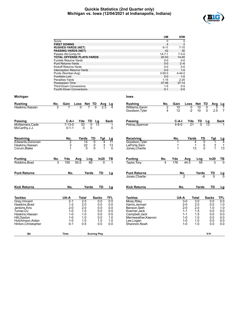## **Quickie Statistics (2nd Quarter only) Michigan vs. Iowa (12/04/2021 at Indianapolis, Indiana)**



|                     |                                                   |                                    |                    |                      | UM                  | <b>IOW</b>     |           |                   |                     |                     |
|---------------------|---------------------------------------------------|------------------------------------|--------------------|----------------------|---------------------|----------------|-----------|-------------------|---------------------|---------------------|
|                     | Score                                             |                                    |                    |                      | $\Omega$            | $\mathbf 0$    |           |                   |                     |                     |
|                     | <b>FIRST DOWNS</b>                                |                                    |                    |                      | $\overline{4}$      | $\overline{2}$ |           |                   |                     |                     |
|                     | <b>RUSHES-YARDS (NET)</b>                         |                                    |                    |                      | $6 - 11$<br>42      | $7 - 10$<br>30 |           |                   |                     |                     |
|                     | <b>PASSING-YARDS (NET)</b><br>Passes Att-Comp-Int |                                    |                    |                      | $14 - 7 - 1$        | $7 - 3 - 0$    |           |                   |                     |                     |
|                     | <b>TOTAL OFFENSE PLAYS-YARDS</b>                  |                                    |                    |                      | 20-53               | $14 - 40$      |           |                   |                     |                     |
|                     | Fumble Returns-Yards                              |                                    |                    |                      | $0-0$               | $0-0$          |           |                   |                     |                     |
|                     | <b>Punt Returns-Yards</b>                         |                                    |                    |                      | $0 - 0$             | $2 - 6$        |           |                   |                     |                     |
|                     | <b>Kickoff Returns-Yards</b>                      |                                    |                    |                      | $0 - 0$             | $0-0$          |           |                   |                     |                     |
|                     | <b>Interception Returns-Yards</b>                 |                                    |                    |                      | $0-0$               | $1 - 0$        |           |                   |                     |                     |
|                     | Punts (Number-Avg)                                |                                    |                    |                      | $3 - 50.0$          | $4 - 44.0$     |           |                   |                     |                     |
|                     | Fumbles-Lost                                      |                                    |                    |                      | $0-0$               | $1 - 0$        |           |                   |                     |                     |
|                     | Penalties-Yards                                   |                                    |                    |                      | $1 - 15$            | $2 - 25$       |           |                   |                     |                     |
|                     | Possession Time                                   |                                    |                    |                      | 07:46               | 07:14          |           |                   |                     |                     |
|                     | <b>Third-Down Conversions</b>                     |                                    |                    |                      | $1 - 5$             | $0-5$          |           |                   |                     |                     |
|                     | Fourth-Down Conversions                           |                                    |                    |                      | $0 - 1$             | $0-0$          |           |                   |                     |                     |
| <b>Michigan</b>     |                                                   |                                    |                    | lowa                 |                     |                |           |                   |                     |                     |
|                     |                                                   |                                    |                    | <b>Rushing</b>       |                     |                |           |                   |                     |                     |
| <b>Rushing</b>      | No.<br>Gain<br>3                                  | Loss Net TD<br>$\overline{0}$<br>0 | Avg<br>Lg          | Williams, Gavin      | No.                 | Gain<br>10     | Loss<br>0 | Net TD<br>10      | $\Omega$            | Avg Lg              |
| Haskins, Hassan     |                                                   |                                    |                    | Goodson, Tyler       | $\overline{2}$<br>4 | 12             | $-2$      | 10                | 2.5<br>$\Omega$     | 5<br>$\overline{7}$ |
| Passing             | C-A-I                                             | Yds<br>TD<br>Lg                    | Sack               | Passing              |                     | C-A-I          | Yds       | TD                | Lq                  | Sack                |
| McNamara, Cade      | 7-13-0                                            | 33<br>$\Omega$<br>13               |                    | Petras, Spencer      |                     | $4 - 8 - 0$    | 21        | $\overline{0}$    | 13                  |                     |
| McCarthy, J.J.      | $0 - 1 - 1$                                       | 0<br>0                             | 0                  |                      |                     |                |           |                   |                     |                     |
| Receiving           | No.                                               | Yards<br>TD                        | Tgt<br>Lg          | <b>Receiving</b>     |                     | No.            | Yards     | TD                | Tgt                 | Lg                  |
| Edwards.Donovan     | 2                                                 | 14<br>0                            | 11<br>4            | Goodson, Tyler       |                     | 1              |           | 0<br>4            | 1                   | 4                   |
| Haskins, Hassan     | 3                                                 | 22<br>0                            | 3<br>13            | LaPorta, Sam         |                     | 1              |           | $\mathbf{1}$<br>0 | 3                   | $\mathbf 1$         |
| Corum, Blake        | $\mathbf{1}$                                      | $\mathbf 0$<br>0                   | 1<br>0             | Jones, Charlie       |                     | 1              |           | 13<br>0           | $\mathbf{1}$        | 13                  |
| <b>Punting</b>      | No.<br>Yds                                        | Avg<br>Lng                         | In20<br>ТВ         | <b>Punting</b>       | No.                 | Yds            | Avg       | Lng               | In20                | TВ                  |
| Robbins, Brad       | 150<br>3                                          | 50.0<br>60                         | <sup>0</sup><br>-1 | Taylor, Tory         | 4                   | 176            | 44.0      | 50                | 3                   | $\overline{0}$      |
|                     |                                                   |                                    |                    |                      |                     |                |           |                   |                     |                     |
| <b>Punt Returns</b> | No.                                               | Yards                              | TD<br>Lg           | <b>Punt Returns</b>  |                     | No.            |           | Yards             | TD                  | $\frac{Lg}{0}$      |
|                     |                                                   |                                    |                    | Jones, Charlie       |                     | 2              |           | -6                | $\Omega$            |                     |
| <b>Kick Returns</b> | No.                                               | Yards                              | TD<br>Lg           | <b>Kick Returns</b>  |                     | No.            |           | Yards             | TD                  | Lg                  |
| <b>Tackles</b>      | UA-A                                              | Total<br><b>Sacks</b>              | TFL                | <b>Tackles</b>       |                     | UA-A           |           | <b>Total</b>      |                     |                     |
| Gray, Vincent       | $2 - 1$                                           | 2.5<br>0.0                         | 0.0                | Moss, Riley          |                     | $3-0$          |           | 3.0               | <b>Sacks</b><br>0.0 | <b>TFL</b><br>0.0   |
| Hawkins, Brad       | $1 - 2$                                           | 2.0<br>0.0                         | 0.0                | Harris, Jermari      |                     | $2 - 0$        |           | 2.0               | 0.0                 | 1.0                 |
| Jenkins, Kris       | $2 - 0$                                           | 2.0<br>0.0                         | 0.0                | Benson, Seth         |                     | $2 - 0$        |           | 2.0               | 1.0                 | 1.0                 |
| Turner, DJ          | $1 - 0$                                           | 1.0<br>0.0                         | 0.0                | Koerner, Jack        |                     | $1 - 1$        |           | 1.5               | 0.0                 | 0.0                 |
| Haskins.Hassan      | $1 - 0$                                           | 1.0<br>0.0                         | 0.0                | Campbell, Jack       |                     | $1 - 1$        |           | 1.5               | 0.0                 | 0.0                 |
| Hill, Daxton        | $1 - 0$                                           | 1.0<br>0.0                         | 1.0                | Merriweather, Kaevon |                     | $1 - 0$        |           | 1.0               | 0.0                 | 0.0                 |
| Hutchinson, Aidan   | $1 - 0$                                           | 1.0<br>1.0                         | 1.0                | Lee, Logan           |                     | $1 - 0$        |           | 1.0               | 0.0                 | 0.0                 |
| Hinton, Christopher | $0 - 1$                                           | 0.5<br>0.0                         | 0.0                | Shannon, Noah        |                     | $1 - 0$        |           | 1.0               | 0.0                 | 0.0                 |
|                     |                                                   |                                    |                    |                      |                     |                |           |                   |                     |                     |
| Qtr                 | Time                                              | <b>Scoring Play</b>                |                    |                      |                     |                |           |                   | V-H                 |                     |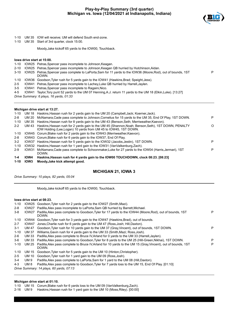

P

- 1-10 UM 35 IOW will receive; UM will defend South end-zone.
- 1-10 UM 35 Start of 3rd quarter, clock 15:00.

Moody,Jake kickoff 65 yards to the IOW00, Touchback.

#### **Iowa drive start at 15:00.**

- 1-10 IOW25 Petras,Spencer pass incomplete to Johnson,Keagan.
- 2-10 IOW25 Petras,Spencer pass incomplete to Johnson,Keagan QB hurried by Hutchinson,Aidan.
- 3-10 IOW25 Petras,Spencer pass complete to LaPorta,Sam for 11 yards to the IOW36 (Moore,Rod), out of bounds, 1ST DOWN.
- 1-10 IOW36 Goodson,Tyler rush for 5 yards gain to the IOW41 (Hawkins,Brad; Speight,Jess).
- 2-5 IOW41 Petras,Spencer pass incomplete to Lachey,Luke QB hurried by Harrell,Jaylen.
- 3-5 IOW41 Petras,Spencer pass incomplete to Ragaini,Nico.
- 4-5 IOW41 Taylor,Tory punt 52 yards to the UM 07 Henning,A.J. return 11 yards to the UM 18 (Elkin,Luke). [13:27]

*Drive Summary: 6 plays, 16 yards, 01:33*

#### **Michigan drive start at 13:27.**

| $1 - 10$ |             | UM 18 Haskins, Hassan rush for 2 yards gain to the UM 20 (Campbell, Jack; Koerner, Jack).                                                                               |   |
|----------|-------------|-------------------------------------------------------------------------------------------------------------------------------------------------------------------------|---|
| $2 - 8$  | UM 20       | McNamara, Cade pass complete to Johnson, Cornelius for 15 yards to the UM 35, End Of Play, 1ST DOWN.                                                                    | P |
| $1 - 10$ | UM 35       | Haskins, Hassan rush for 8 yards gain to the UM 43 (Benson, Seth; Merriweather, Kaevon).                                                                                |   |
| $2 - 2$  | UM 43       | Haskins, Hassan rush for 2 yards gain to the UM 45 (Shannon, Noah; Benson, Seth), 1ST DOWN, PENALTY<br>IOW Holding (Lee, Logan) 10 yards from UM 45 to IOW45, 1ST DOWN. | O |
| 1-10     |             | IOW45 Corum, Blake rush for 2 yards gain to the IOW43 (Merriweather, Kaevon).                                                                                           |   |
| $2 - 8$  |             | IOW43 Corum, Blake rush for 6 yards gain to the IOW37, End Of Play.                                                                                                     |   |
| $3 - 2$  | IOW37       | Haskins, Hassan rush for 5 yards gain to the IOW32 (Jacobs, Jestin), 1ST DOWN.                                                                                          | P |
| $1 - 10$ |             | IOW32 Haskins, Hassan rush for 1 yard gain to the IOW31 (VanValkenburg, Zach).                                                                                          |   |
| $2-9$    | IOW31       | McNamara Cade pass complete to Schoonmaker Luke for 27 yards to the IOW04 (Harris Jermari), 1ST<br>DOWN.                                                                | P |
| $1 - 4$  | IOW4        | Haskins, Hassan rush for 4 yards gain to the IOW00 TOUCHDOWN, clock 08:23. [08:23]                                                                                      |   |
| $1 - 10$ | <b>IOW3</b> | Moody, Jake kick attempt good.                                                                                                                                          |   |

## **MICHIGAN 21, IOWA 3**

*Drive Summary: 10 plays, 82 yards, 05:04*

Moody,Jake kickoff 65 yards to the IOW00, Touchback.

#### **Iowa drive start at 08:23.**

| $1 - 10$ | IOW25             | Goodson, Tyler rush for 2 yards gain to the IOW27 (Smith, Mazi).                                                       |   |
|----------|-------------------|------------------------------------------------------------------------------------------------------------------------|---|
| $2 - 8$  | IOW <sub>27</sub> | Padilla, Alex pass incomplete to LaPorta, Sam QB hurried by Barrett, Michael.                                          |   |
| 3-8      | IOW <sub>27</sub> | Padilla, Alex pass complete to Goodson, Tyler for 17 yards to the IOW44 (Moore, Rod), out of bounds, 1ST<br>DOWN.      | P |
| $1 - 10$ | IOW44             | Goodson, Tyler rush for 3 yards gain to the IOW47 (Hawkins, Brad), out of bounds.                                      |   |
| $2 - 7$  | IOW47             | Jones, Charlie rush for 6 yards gain to the UM 47 (Ross, Josh; Hill, Daxton).                                          |   |
| $3 - 1$  | <b>UM 47</b>      | Goodson, Tyler rush for 10 yards gain to the UM 37 (Gray, Vincent), out of bounds, 1ST DOWN.                           | P |
| $1 - 10$ | UM 37             | Williams, Gavin rush for 4 yards gain to the UM 33 (Smith, Mazi: Ross, Josh).                                          |   |
| $2-6$    | UM 33             | Padilla, Alex pass complete to Bruce IV, Arland for 0 yards to the UM 33 (Harrell, Jaylen).                            |   |
| 3-6      | UM 33             | Padilla, Alex pass complete to Goodson, Tyler for 8 yards to the UM 25 (Hill-Green, Nikhai), 1ST DOWN.                 | P |
| $1 - 10$ | UM 25             | Padilla, Alex pass complete to Bruce IV, Arland for 10 yards to the UM 15 (Gray, Vincent), out of bounds, 1ST<br>DOWN. | P |
| $1 - 10$ | UM 15             | Goodson, Tyler rush for 5 yards gain to the UM 10 (Hinton, Christopher).                                               |   |
| $2 - 5$  | <b>UM 10</b>      | Goodson, Tyler rush for 1 yard gain to the UM 09 (Ross, Josh).                                                         |   |
| $3 - 4$  | UM 9              | Padilla, Alex pass complete to LaPorta, Sam for 1 yard to the UM 08 (Hill, Daxton).                                    |   |
| $4 - 3$  | UM 8              | Padilla Alex pass complete to Goodson Tyler for 7 yards loss to the UM 15, End Of Play [01:10]                         |   |

*Drive Summary: 14 plays, 60 yards, 07:13*

#### **Michigan drive start at 01:10.**

1-10 UM 15 Corum,Blake rush for 6 yards loss to the UM 09 (VanValkenburg,Zach).

2-16 UM 9 Haskins,Hassan rush for 1 yard gain to the UM 10 (Moss,Riley). [00:00]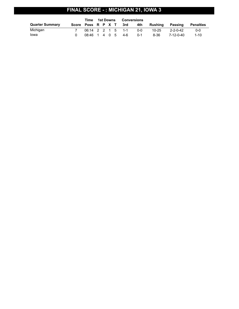# **FINAL SCORE - : MICHIGAN 21, IOWA 3**

|                        |                    | Time              | 1st Downs |  | Conversions |         |           |           |           |
|------------------------|--------------------|-------------------|-----------|--|-------------|---------|-----------|-----------|-----------|
| <b>Quarter Summary</b> | Score Poss R P X T |                   |           |  | 3rd         | 4th     | Rushina   | Passing   | Penalties |
| Michigan               |                    | 06:14 2 2 1 5 1-1 |           |  |             | ი-ი     | $10 - 25$ | 2-2-0-42  | $0 - 0$   |
| lowa                   |                    | 08:46 1 4 0 5 4-6 |           |  |             | $0 - 1$ | 8-36      | 7-12-0-40 | $1 - 10$  |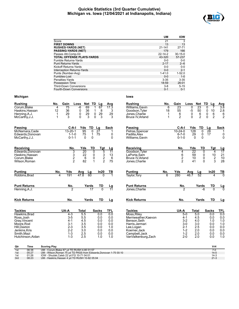## **Quickie Statistics (3rd Quarter Cumulative) Michigan vs. Iowa (12/04/2021 at Indianapolis, Indiana)**



|                                  | UМ            | <b>IOW</b>    |
|----------------------------------|---------------|---------------|
| Score                            | 21            | 3             |
| <b>FIRST DOWNS</b>               | 13            | 13            |
| <b>RUSHES-YARDS (NET)</b>        | $21 - 141$    | 27-71         |
| <b>PASSING-YARDS (NET)</b>       | 179           | 166           |
| Passes Att-Comp-Int              | $22 - 14 - 2$ | $30 - 15 - 0$ |
| <b>TOTAL OFFENSE PLAYS-YARDS</b> | 43-320        | 57-237        |
| Fumble Returns-Yards             | $0 - 0$       | $0 - 0$       |
| <b>Punt Returns-Yards</b>        | $2 - 17$      | $2 - 6$       |
| Kickoff Returns-Yards            | $0 - 0$       | $0 - 0$       |
| Interception Returns-Yards       | $0 - 0$       | $2 - 1$       |
| Punts (Number-Avg)               | $1 - 41.0$    | $1 - 52.0$    |
| Fumbles-Lost                     | $0 - 0$       | $1 - 0$       |
| Penalties-Yards                  | $3 - 35$      | $3 - 35$      |
| Possession Time                  | 18:59         | 26:01         |
| <b>Third-Down Conversions</b>    | $3 - 8$       | $5 - 15$      |
| Fourth-Down Conversions          | $0 - 1$       | $0 - 1$       |

## **Michigan Iowa**

| Corum, Blake<br>Haskins, Hassan<br>Henning, A.J.<br>McCarthy, J.J.                                                              | 4<br>12<br>1<br>1 | 75<br>36<br>29<br>3                                                                | -6<br>0<br>0<br>0                                    | 69<br>1<br>36<br>1<br>29<br>0<br>3<br>0 | 67<br>8<br>29<br>3                                   | 17.3<br>3<br>29<br>3                                 |  |
|---------------------------------------------------------------------------------------------------------------------------------|-------------------|------------------------------------------------------------------------------------|------------------------------------------------------|-----------------------------------------|------------------------------------------------------|------------------------------------------------------|--|
| <b>Passing</b>                                                                                                                  |                   | C-A-I                                                                              | Yds                                                  | TD                                      | Lg                                                   | <b>Sack</b>                                          |  |
| McNamara, Cade<br>Edwards, Donovan<br>McCarthy, J.J.                                                                            |                   | $13 - 20 - 1$<br>$1 - 1 - 0$<br>$0 - 1 - 1$                                        | $\overline{95}$<br>75<br>0                           | 0<br>1<br>0                             | 27<br>75                                             | 1<br>0<br>$\mathbf 0$                                |  |
| Receiving                                                                                                                       |                   | No.                                                                                | Yds                                                  | TD                                      | Tat                                                  | Lg                                                   |  |
| Edwards, Donovan<br>Haskins, Hassan<br>Corum, Blake<br>Wilson, Roman                                                            |                   | $\frac{3}{2}$                                                                      | 20<br>22<br>6<br>82                                  | 0<br>0<br>0<br>1                        | 5<br>$\frac{3}{2}$                                   | 11<br>13<br>6<br>75                                  |  |
| <b>Punting</b>                                                                                                                  | No.               | Yds                                                                                | Avg                                                  | Lg                                      | In20                                                 | ΤВ                                                   |  |
| Robbins, Brad                                                                                                                   | $\overline{4}$    | 191                                                                                | 47.8                                                 | 60                                      | $\Omega$                                             |                                                      |  |
| <b>Punt Returns</b>                                                                                                             |                   | $rac{No.}{2}$                                                                      |                                                      | Yards                                   | TD                                                   | <u>Lg</u><br>11                                      |  |
| Henning, A.J.                                                                                                                   |                   |                                                                                    |                                                      | $\overline{17}$                         |                                                      |                                                      |  |
| <b>Kick Returns</b>                                                                                                             |                   | No.                                                                                |                                                      | Yards                                   | <b>TD</b>                                            | Lg                                                   |  |
| <b>Tackles</b>                                                                                                                  |                   | UA-A                                                                               | Total                                                |                                         | <b>Sacks</b>                                         | <b>TFL</b>                                           |  |
| Hawkins, Brad<br>Ross, Josh<br>Gray, Vincent<br>Moore, Rod<br>Hill, Daxton<br>Jenkins, Kris<br>Smith, Mazi<br>Hutchinson, Aidan |                   | $4 - 3$<br>$3-5$<br>$4 - 1$<br>$3 - 1$<br>$2 - 3$<br>$2 - 2$<br>$1 - 3$<br>$1 - 3$ | 5.5<br>5.5<br>4.5<br>3.5<br>3.5<br>3.0<br>2.5<br>2.5 |                                         | 0.0<br>0.0<br>0.0<br>0.0<br>0.0<br>0.0<br>0.0<br>1.0 | 0.0<br>0.0<br>0.0<br>0.0<br>1.0<br>0.0<br>0.0<br>1.0 |  |

**Rushing No. Gain Loss Net TD Lg Avg**

| Rushina          | No. | Gain | Loss | Net TD | La | Ava |
|------------------|-----|------|------|--------|----|-----|
| Williams.Gavin   |     | 23   |      | 23     |    | 3.8 |
| Goodson, Tyler   | 18  | 55   | -5   | 50     | 10 | 2.8 |
| Jones.Charlie    |     | 6    |      |        |    | 6   |
| Bruce IV, Arland |     | ◠    |      |        |    | 2   |

| Passing          | C-A-I         | Yds | TD | Lg  | <b>Sack</b> |
|------------------|---------------|-----|----|-----|-------------|
| Petras, Spencer  | $10 - 24 - 0$ | 128 |    | 28  |             |
| Padilla, Alex    | $6 - 7 - 0$   | 29  | 0  | 17  |             |
| Williams, Gavin  | $0 - 1 - 0$   |     | 0  |     |             |
|                  |               |     |    |     |             |
| Receiving        | No.           | Yds | TD | Tgt | ∟g          |
| Goodson, Tyler   | 4             | 22  | O  | 4   | 17          |
| LaPorta,Sam      | 6             | 59  | 0  | 10  | 21          |
| Bruce IV, Arland | 2             | 10  | 0  | 2   | 10          |
| Jones,Charlie    | 2             | 41  | 0  | 3   | 28          |
|                  |               |     |    |     |             |

| <b>Punting</b>      | No. | Yds | Ava  | La    | In20 |  |
|---------------------|-----|-----|------|-------|------|--|
| Taylor, Tory        |     | 280 | 46.7 | 52    |      |  |
| <b>Punt Returns</b> |     | No. |      | Yards | TD   |  |

|                     | .   | .     | . . | -- |
|---------------------|-----|-------|-----|----|
| Jones, Charlie      |     | -6    |     |    |
| <b>Kick Returns</b> | No. | Yards | TD  |    |

| <b>Tackles</b>       | UA-A    | Total | <b>Sacks</b> | TFL |
|----------------------|---------|-------|--------------|-----|
| Moss, Riley          | $5-0$   | 5.0   | 0.0          | 0.0 |
| Merriweather, Kaevon | 4-1     | 4.5   | 0.0          | 0.0 |
| Benson, Seth         | $3-2$   | 4.0   | 1.0          | 1.0 |
| Harris, Jermari      | $3-0$   | 3.0   | 0.0          | 1.0 |
| Lee, Logan           | $2 - 1$ | 2.5   | 0.0          | 0.0 |
| Koerner, Jack        | $1 - 2$ | 2.0   | 0.0          | 0.0 |
| Campbell, Jack       | $1 - 2$ | 2.0   | 0.0          | 0.0 |
| VanValkenburg, Zach  | $2 - 0$ | 2.0   | 0.0          | 1.0 |

| Qtr | Time  | <b>Scoring Play</b>                                               | V-H      |
|-----|-------|-------------------------------------------------------------------|----------|
| 1st | 06:38 | UM - Corum. Blake 67 vd TD RUSH 4-80 01:57                        |          |
| 1st | 05:27 | UM - Wilson, Roman 75 yd TD PASS from Edwards, Donovan 1-75 00:10 | $14-0$   |
| 1st | 01:26 | IOW - Shudak.Caleb 22 vd FG 10-71 04:01                           | $14-3$   |
| 3rd | 08:23 | UM - Haskins, Hassan 4 yd TD RUSH 10-82 05:04                     | $21 - 3$ |
|     |       |                                                                   |          |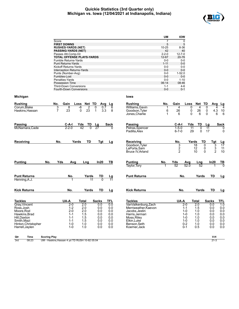## **Quickie Statistics (3rd Quarter only) Michigan vs. Iowa (12/04/2021 at Indianapolis, Indiana)**



|                                    |                                                                 | UM                               | <b>IOW</b>           |                             |                                 |
|------------------------------------|-----------------------------------------------------------------|----------------------------------|----------------------|-----------------------------|---------------------------------|
|                                    | Score                                                           | $\overline{7}$                   | 0                    |                             |                                 |
|                                    | <b>FIRST DOWNS</b>                                              | 5                                | 5                    |                             |                                 |
|                                    | <b>RUSHES-YARDS (NET)</b><br><b>PASSING-YARDS (NET)</b>         | $10 - 25$<br>42                  | 8-36<br>40           |                             |                                 |
|                                    | Passes Att-Comp-Int                                             | $2 - 2 - 0$                      | 12-7-0               |                             |                                 |
|                                    | <b>TOTAL OFFENSE PLAYS-YARDS</b>                                | 12-67                            | 20-76                |                             |                                 |
|                                    | Fumble Returns-Yards                                            | $0-0$                            | 0-0                  |                             |                                 |
|                                    | <b>Punt Returns-Yards</b>                                       | $1 - 11$                         | $0 - 0$              |                             |                                 |
|                                    | Kickoff Returns-Yards                                           | $0-0$                            | $0-0$                |                             |                                 |
|                                    | Interception Returns-Yards                                      | $0 - 0$                          | $0-0$                |                             |                                 |
|                                    | Punts (Number-Avg)                                              | $0-0$                            | $1 - 52.0$           |                             |                                 |
|                                    | Fumbles-Lost                                                    | $0-0$                            | $0-0$                |                             |                                 |
|                                    | Penalties-Yards                                                 | $0-0$                            | $1 - 10$             |                             |                                 |
|                                    | <b>Possession Time</b>                                          | 06:14                            | 08:46                |                             |                                 |
|                                    | <b>Third-Down Conversions</b><br><b>Fourth-Down Conversions</b> | $1 - 1$<br>$0-0$                 | 4-6<br>$0 - 1$       |                             |                                 |
| Michigan                           |                                                                 | lowa                             |                      |                             |                                 |
| <b>Rushing</b>                     | No.<br>Gain<br>Loss Net TD<br>Avg<br><u>Lg</u>                  | <b>Rushing</b><br>No.            | Gain                 | Net TD<br>Loss              | Avg                             |
| Corum, Blake                       | $-6$<br>2<br>3<br>8<br>0<br>6<br>0.7                            | Williams, Gavin<br>1             | 4                    | 0<br>4                      | $\frac{\text{Lg}}{4}$<br>0<br>4 |
| Haskins, Hassan                    | $\overline{7}$<br>23<br>23<br>0<br>3.3<br>$\mathbf 1$<br>8      | Goodson, Tyler<br>6              | 26                   | 0<br>26                     | 0<br>4.3<br>10                  |
|                                    |                                                                 | Jones, Charlie<br>$\mathbf 1$    | 6                    | 0<br>6                      | 0<br>6<br>6                     |
|                                    |                                                                 |                                  |                      |                             |                                 |
| Passing                            | C-A-I<br>Yds<br>TD<br>Lg<br>Sack                                | Passing                          | C-A-I                | Yds<br>TD                   | Sack<br>Lg                      |
| McNamara, Cade                     | $2 - 2 - 0$<br>42<br>$\Omega$<br>27                             | Petras, Spencer<br>Padilla, Alex | $1 - 5 - 0$<br>6-7-0 | 11<br>0<br>29<br>0          | 11<br>0<br>17<br>0              |
|                                    |                                                                 |                                  |                      |                             |                                 |
| Receiving                          | Yards<br>TD<br>No.<br>Tgt<br>Lg                                 | Receiving                        | No.                  | Yards<br>TD                 | <u>Tgt</u><br><u>Lg</u>         |
|                                    |                                                                 | Goodson, Tyler                   | 3                    | $\overline{18}$<br>$\Omega$ | 3<br>$\overline{17}$            |
|                                    |                                                                 | LaPorta.Sam                      | 2                    | 12<br>0                     | $\frac{3}{2}$<br>11             |
|                                    |                                                                 | Bruce IV, Arland                 | $\overline{c}$       | $\Omega$<br>10              | 10                              |
| No.<br><b>Punting</b>              | Yds<br>ln20<br>Avg<br>TВ<br>Lng                                 | <b>Punting</b><br>No.            | Yds                  | Avg<br>Lng                  | In20<br>TВ                      |
|                                    |                                                                 | Taylor, Tory                     | 52                   | 52.0<br>52                  |                                 |
| <b>Punt Returns</b>                | No.<br>Yards<br>TD                                              | <b>Punt Returns</b>              | No.                  | Yards                       | TD                              |
| Henning, A.J.                      | Lg<br>11<br>11<br>$\Omega$                                      |                                  |                      |                             | <u>Lg</u>                       |
| <b>Kick Returns</b>                | No.<br>TD<br>Yards<br>Lg                                        | <b>Kick Returns</b>              | No.                  | Yards                       | TD                              |
|                                    |                                                                 |                                  |                      |                             | <u>Lg</u>                       |
| <b>Tackles</b>                     | UA-A<br>Total<br><b>Sacks</b><br>TFL                            | <b>Tackles</b>                   | UA-A                 | <b>Total</b>                | <b>Sacks</b><br><b>TFL</b>      |
| Gray, Vincent                      | 2.0<br>0.0<br>0.0<br>$2 - 0$                                    | VanValkenburg, Zach              | 2-0                  | 2.0                         | $\overline{1.0}$<br>0.0         |
| Ross, Josh                         | $1 - 2$<br>2.0<br>0.0<br>0.0                                    | Merriweather, Kaevon             | $1 - 1$              | 1.5                         | 0.0<br>0.0                      |
| Moore, Rod                         | $2 - 0$<br>2.0<br>0.0<br>0.0                                    | Jacobs, Jestin                   | $1-0$                | 1.0                         | 0.0<br>0.0                      |
| Hawkins, Brad                      | $1 - 1$<br>1.5<br>0.0<br>0.0                                    | Harris, Jermari                  | $1 - 0$              | 1.0                         | 0.0<br>0.0                      |
| Hill, Daxton                       | $1 - 1$<br>1.5<br>0.0<br>0.0                                    | Moss, Riley                      | $1 - 0$              | 1.0                         | 0.0<br>0.0                      |
| Smith, Mazi                        | $1 - 1$<br>1.5<br>0.0<br>0.0                                    | Elkin, Luke                      | $1 - 0$              | 1.0                         | 0.0<br>0.0                      |
| Hinton, Christopher                | $1 - 0$<br>1.0<br>0.0<br>0.0                                    | Benson, Seth                     | $0 - 2$              | 1.0                         | 0.0<br>0.0                      |
| Harrell, Jaylen                    | 0.0<br>$1 - 0$<br>1.0<br>0.0                                    | Koerner, Jack                    | 0-1                  | 0.5                         | 0.0<br>0.0                      |
| Time<br><b>Scoring Play</b><br>Qtr |                                                                 |                                  |                      |                             | V-H                             |
| 3rd<br>08:23                       | UM - Haskins, Hassan 4 yd TD RUSH 10-82 05:04                   |                                  |                      |                             | $21 - 3$                        |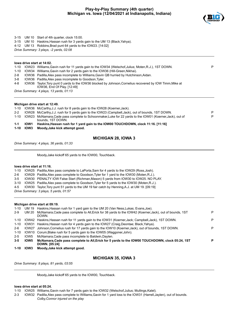

3-15 UM 10 Start of 4th quarter, clock 15:00.

3-15 UM 10 Haskins,Hassan rush for 3 yards gain to the UM 13 (Black,Yahya).

4-12 UM 13 Robbins,Brad punt 64 yards to the IOW23. [14:02]

*Drive Summary: 3 plays, -2 yards, 02:08*

| $1 - 10$<br>$2 - 2$<br>$1 - 10$<br>$1 - 1$ | IOW28<br>IOW <sub>23</sub><br>IOW <sub>1</sub> | Michigan drive start at 12:49.<br>IOW36 McCarthy, J.J. rush for 8 yards gain to the IOW28 (Koerner, Jack).<br>McCarthy, J.J. rush for 5 yards gain to the IOW23 (Campbell, Jack), out of bounds, 1ST DOWN.<br>McNamara.Cade pass complete to Schoonmaker.Luke for 22 yards to the IOW01 (Koerner, Jack), out of<br>bounds. 1ST DOWN.<br>Haskins, Hassan rush for 1 yard gain to the IOW00 TOUCHDOWN, clock 11:16. [11:16] | Р |
|--------------------------------------------|------------------------------------------------|---------------------------------------------------------------------------------------------------------------------------------------------------------------------------------------------------------------------------------------------------------------------------------------------------------------------------------------------------------------------------------------------------------------------------|---|
|                                            |                                                |                                                                                                                                                                                                                                                                                                                                                                                                                           | P |
|                                            |                                                |                                                                                                                                                                                                                                                                                                                                                                                                                           |   |
|                                            |                                                |                                                                                                                                                                                                                                                                                                                                                                                                                           |   |
|                                            |                                                |                                                                                                                                                                                                                                                                                                                                                                                                                           |   |
|                                            |                                                |                                                                                                                                                                                                                                                                                                                                                                                                                           |   |
|                                            |                                                |                                                                                                                                                                                                                                                                                                                                                                                                                           |   |
|                                            |                                                |                                                                                                                                                                                                                                                                                                                                                                                                                           |   |
|                                            |                                                | Drive Summary: 4 plays, 13 yards, 01:13                                                                                                                                                                                                                                                                                                                                                                                   |   |
|                                            |                                                | IOW36, End Of Play. [12:49]                                                                                                                                                                                                                                                                                                                                                                                               |   |
| 4-8                                        |                                                | IOW36 Taylor, Tory punt 0 yards to the IOW36 blocked by Johnson, Cornelius recovered by IOW Timm, Mike at                                                                                                                                                                                                                                                                                                                 |   |
| $3 - 8$                                    |                                                | IOW36 Padilla, Alex pass incomplete to Goodson, Tyler.                                                                                                                                                                                                                                                                                                                                                                    |   |
| $2 - 8$                                    | IOW36                                          | Padilla, Alex pass incomplete to Williams, Gavin QB hurried by Hutchinson, Aidan.                                                                                                                                                                                                                                                                                                                                         |   |
| $1 - 10$                                   | IOW34                                          | Williams Gavin rush for 2 yards gain to the IOW36 (Hill-Green Nikhai).                                                                                                                                                                                                                                                                                                                                                    |   |
| $1 - 10$                                   |                                                | IOW23 Williams, Gavin rush for 11 yards gain to the IOW34 (Welschof, Julius; Moten, R.J.), 1ST DOWN.                                                                                                                                                                                                                                                                                                                      | P |
|                                            |                                                |                                                                                                                                                                                                                                                                                                                                                                                                                           |   |
|                                            |                                                |                                                                                                                                                                                                                                                                                                                                                                                                                           |   |
|                                            |                                                | lowa drive start at 14:02.                                                                                                                                                                                                                                                                                                                                                                                                |   |

**10W3** Moody,Jake kick attempt good.

## **MICHIGAN 28, IOWA 3**

*Drive Summary: 4 plays, 36 yards, 01:33*

Moody,Jake kickoff 65 yards to the IOW00, Touchback.

#### **Iowa drive start at 11:16.**

1-10 IOW25 Padilla,Alex pass complete to LaPorta,Sam for 4 yards to the IOW29 (Ross,Josh).

2-6 IOW29 Padilla,Alex pass complete to Goodson,Tyler for 1 yard to the IOW30 (Moten,R.J.).

- 3-5 IOW30 PENALTY IOW False Start (Richman,Mason) 5 yards from IOW30 to IOW25. NO PLAY.
- 3-10 IOW25 Padilla,Alex pass complete to Goodson,Tyler for 5 yards to the IOW30 (Moten,R.J.).
- 4-5 IOW30 Taylor,Tory punt 51 yards to the UM 19 fair catch by Henning,A.J. at UM 19. [09:19]

*Drive Summary: 3 plays, 5 yards, 01:57*

#### **Michigan drive start at 09:19.**

| $1 - 10$ |                  | UM 19 Haskins, Hassan rush for 1 yard gain to the UM 20 (Van Ness, Lukas; Evans, Joe).                                  |   |
|----------|------------------|-------------------------------------------------------------------------------------------------------------------------|---|
| $2-9$    | UM 20            | McNamara.Cade pass complete to All, Erick for 38 yards to the IOW42 (Koerner, Jack), out of bounds, 1ST<br>DOWN.        | P |
| 1-10     |                  | IOW42 Haskins, Hassan rush for 11 yards gain to the IOW31 (Koerner, Jack; Campbell, Jack), 1ST DOWN.                    | P |
| 1-10     |                  | IOW31 Haskins, Hassan rush for 4 yards gain to the IOW27 (Craig, Deontae; Black, Yahya).                                |   |
| $2-6$    | IOW27            | Johnson, Cornelius rush for 17 yards gain to the IOW10 (Koerner, Jack), out of bounds, 1ST DOWN.                        | P |
| $1 - 10$ |                  | IOW10 Corum, Blake rush for 5 yards gain to the IOW05 (Waggoner, John).                                                 |   |
| $2 - 5$  | IOW <sub>5</sub> | McNamara, Cade pass incomplete to Baldwin, Daylen.                                                                      |   |
| $3 - 5$  | IOW <sub>5</sub> | McNamara, Cade pass complete to All, Erick for 5 yards to the IOW00 TOUCHDOWN, clock 05:24, 1ST<br><b>DOWN. [05:24]</b> | P |
| $1 - 10$ | <b>IOW3</b>      | Moody, Jake kick attempt good.                                                                                          |   |

## **MICHIGAN 35, IOWA 3**

*Drive Summary: 8 plays, 81 yards, 03:55*

Moody,Jake kickoff 65 yards to the IOW00, Touchback.

#### **Iowa drive start at 05:24.**

1-10 IOW25 Williams,Gavin rush for 7 yards gain to the IOW32 (Welschof,Julius; Mullings,Kalel).

2-3 IOW32 Padilla,Alex pass complete to Williams,Gavin for 1 yard loss to the IOW31 (Harrell,Jaylen), out of bounds. *Colby,Connor injured on the play*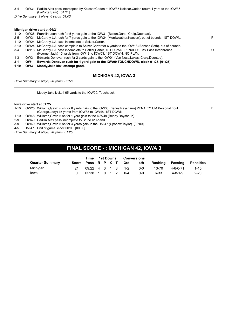## 3-4 IOW31 Padilla,Alex pass intercepted by Kolesar,Caden at IOW37 Kolesar,Caden return 1 yard to the IOW36 (LaPorta,Sam). [04:21]

*Drive Summary: 3 plays, 6 yards, 01:03*

#### **Michigan drive start at 04:21.**

|         | $\overline{1}$ $\overline{1}$ $\overline{1}$ $\overline{1}$ $\overline{1}$ $\overline{1}$ $\overline{1}$ $\overline{1}$ $\overline{1}$ | Marcello della della catterna di controlla                                                                                                                          |   |
|---------|----------------------------------------------------------------------------------------------------------------------------------------|---------------------------------------------------------------------------------------------------------------------------------------------------------------------|---|
| $2 - 1$ | <b>IOW1</b>                                                                                                                            | Edwards, Donovan rush for 1 yard gain to the IOW00 TOUCHDOWN, clock 01:25. [01:25]                                                                                  |   |
| 1-3     | IOW3                                                                                                                                   | Edwards, Donovan rush for 2 yards gain to the IOW01 (Van Ness, Lukas: Craig, Deontae).                                                                              |   |
| $3-4$   |                                                                                                                                        | IOW18 McCarthy, J.J. pass incomplete to Selzer, Carter, 1ST DOWN, PENALTY IOW Pass Interference<br>(Koerner, Jack) 15 yards from IOW18 to IOW03, 1ST DOWN. NO PLAY. | O |
|         |                                                                                                                                        | 2-10 IOW24 McCarthy, J.J. pass complete to Selzer, Carter for 6 yards to the IOW18 (Benson, Seth), out of bounds.                                                   |   |
|         |                                                                                                                                        | 1-10 IOW24 McCarthy, J.J. pass incomplete to Selzer, Carter.                                                                                                        |   |
| $2 - 5$ |                                                                                                                                        | IOW31 McCarthy, J.J. rush for 7 yards gain to the IOW24 (Merriweather, Kaevon), out of bounds, 1ST DOWN.                                                            | P |
|         |                                                                                                                                        | 1-10 IOW36 Franklin, Leon rush for 5 yards gain to the IOW31 (Belton, Dane; Craig, Deontae).                                                                        |   |
|         |                                                                                                                                        |                                                                                                                                                                     |   |

**1-10 IOW3 Moody,Jake kick attempt good.**

## **MICHIGAN 42, IOWA 3**

E

*Drive Summary: 6 plays, 36 yards, 02:56*

Moody,Jake kickoff 65 yards to the IOW00, Touchback.

#### **Iowa drive start at 01:25.**

1-10 IOW25 Williams,Gavin rush for 8 yards gain to the IOW33 (Benny,Rayshaun) PENALTY UM Personal Foul (George,Joey) 15 yards from IOW33 to IOW48, 1ST DOWN.

1-10 IOW48 Williams,Gavin rush for 1 yard gain to the IOW49 (Benny,Rayshaun).

2-9 IOW49 Padilla,Alex pass incomplete to Bruce IV,Arland.

3-9 IOW49 Williams,Gavin rush for 4 yards gain to the UM 47 (Upshaw,Taylor). [00:00]

4-5 UM 47 End of game, clock 00:00. [00:00]

*Drive Summary: 4 plays, 28 yards, 01:25*

# **FINAL SCORE - : MICHIGAN 42, IOWA 3**

|                        | Time                 | 1st Downs |  | <b>Conversions</b> |         |         |           |                 |                  |
|------------------------|----------------------|-----------|--|--------------------|---------|---------|-----------|-----------------|------------------|
| <b>Quarter Summary</b> | Score Poss R P X T   |           |  |                    | 3rd     | 4th     | Rushina   | Passing         | <b>Penalties</b> |
| Michigan               | $09:22$ 4 3 1 8 1 -2 |           |  |                    |         | $0 - 0$ | $13 - 70$ | 4-6-0-71        | $1 - 15$         |
| lowa                   | 05:38 1 0 1 2        |           |  |                    | $0 - 4$ | 0-0     | 6-33      | $4 - 8 - 1 - 9$ | $2 - 20$         |